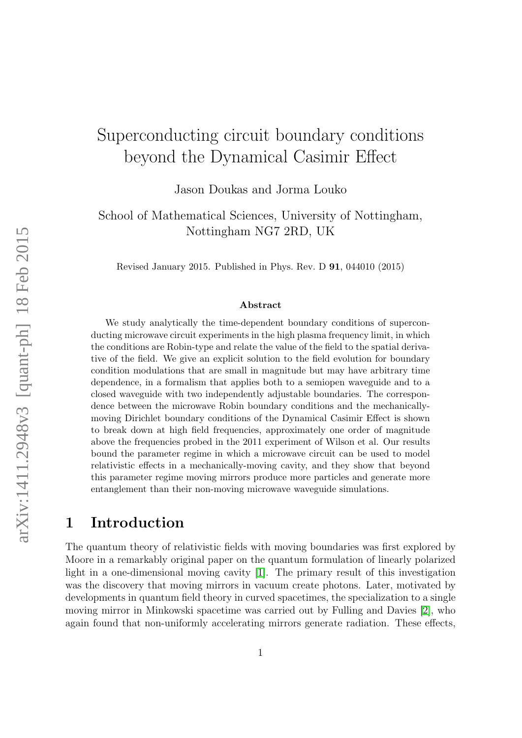# Superconducting circuit boundary conditions beyond the Dynamical Casimir Effect

Jason Doukas and Jorma Louko

School of Mathematical Sciences, University of Nottingham, Nottingham NG7 2RD, UK

Revised January 2015. Published in Phys. Rev. D 91, 044010 (2015)

#### Abstract

We study analytically the time-dependent boundary conditions of superconducting microwave circuit experiments in the high plasma frequency limit, in which the conditions are Robin-type and relate the value of the field to the spatial derivative of the field. We give an explicit solution to the field evolution for boundary condition modulations that are small in magnitude but may have arbitrary time dependence, in a formalism that applies both to a semiopen waveguide and to a closed waveguide with two independently adjustable boundaries. The correspondence between the microwave Robin boundary conditions and the mechanicallymoving Dirichlet boundary conditions of the Dynamical Casimir Effect is shown to break down at high field frequencies, approximately one order of magnitude above the frequencies probed in the 2011 experiment of Wilson et al. Our results bound the parameter regime in which a microwave circuit can be used to model relativistic effects in a mechanically-moving cavity, and they show that beyond this parameter regime moving mirrors produce more particles and generate more entanglement than their non-moving microwave waveguide simulations.

# 1 Introduction

The quantum theory of relativistic fields with moving boundaries was first explored by Moore in a remarkably original paper on the quantum formulation of linearly polarized light in a one-dimensional moving cavity [\[1\]](#page-25-0). The primary result of this investigation was the discovery that moving mirrors in vacuum create photons. Later, motivated by developments in quantum field theory in curved spacetimes, the specialization to a single moving mirror in Minkowski spacetime was carried out by Fulling and Davies [\[2\]](#page-25-1), who again found that non-uniformly accelerating mirrors generate radiation. These effects,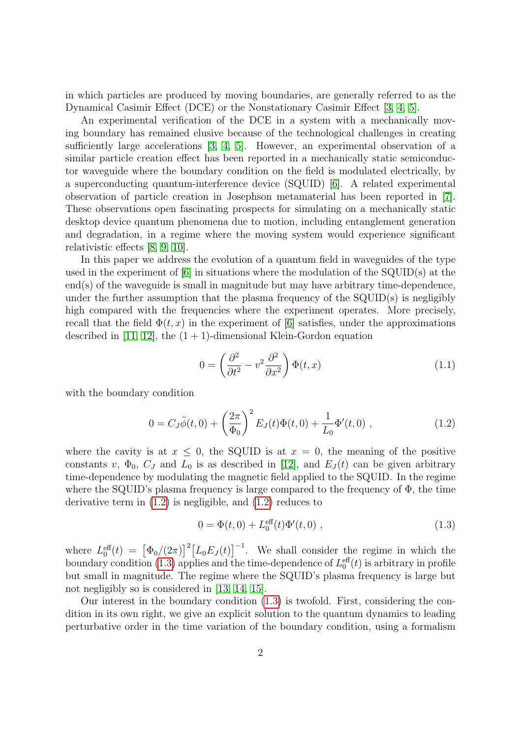in which particles are produced by moving boundaries, are generally referred to as the Dynamical Casimir Effect (DCE) or the Nonstationary Casimir Effect [\[3,](#page-25-2) [4,](#page-25-3) [5\]](#page-25-4).

An experimental verification of the DCE in a system with a mechanically moving boundary has remained elusive because of the technological challenges in creating sufficiently large accelerations [\[3,](#page-25-2) [4,](#page-25-3) [5\]](#page-25-4). However, an experimental observation of a similar particle creation effect has been reported in a mechanically static semiconductor waveguide where the boundary condition on the field is modulated electrically, by a superconducting quantum-interference device (SQUID) [\[6\]](#page-25-5). A related experimental observation of particle creation in Josephson metamaterial has been reported in [\[7\]](#page-25-6). These observations open fascinating prospects for simulating on a mechanically static desktop device quantum phenomena due to motion, including entanglement generation and degradation, in a regime where the moving system would experience significant relativistic effects [\[8,](#page-25-7) [9,](#page-25-8) [10\]](#page-25-9).

In this paper we address the evolution of a quantum field in waveguides of the type used in the experiment of  $[6]$  in situations where the modulation of the SQUID(s) at the  $\text{end}(s)$  of the waveguide is small in magnitude but may have arbitrary time-dependence, under the further assumption that the plasma frequency of the SQUID(s) is negligibly high compared with the frequencies where the experiment operates. More precisely, recall that the field  $\Phi(t, x)$  in the experiment of [\[6\]](#page-25-5) satisfies, under the approximations described in [\[11,](#page-25-10) [12\]](#page-25-11), the  $(1 + 1)$ -dimensional Klein-Gordon equation

<span id="page-1-2"></span><span id="page-1-0"></span>
$$
0 = \left(\frac{\partial^2}{\partial t^2} - v^2 \frac{\partial^2}{\partial x^2}\right) \Phi(t, x) \tag{1.1}
$$

with the boundary condition

$$
0 = C_J \ddot{\phi}(t,0) + \left(\frac{2\pi}{\Phi_0}\right)^2 E_J(t)\Phi(t,0) + \frac{1}{L_0}\Phi'(t,0) , \qquad (1.2)
$$

where the cavity is at  $x \leq 0$ , the SQUID is at  $x = 0$ , the meaning of the positive constants v,  $\Phi_0$ ,  $C_J$  and  $L_0$  is as described in [\[12\]](#page-25-11), and  $E_J(t)$  can be given arbitrary time-dependence by modulating the magnetic field applied to the SQUID. In the regime where the SQUID's plasma frequency is large compared to the frequency of  $\Phi$ , the time derivative term in [\(1.2\)](#page-1-0) is negligible, and [\(1.2\)](#page-1-0) reduces to

<span id="page-1-1"></span>
$$
0 = \Phi(t, 0) + L_0^{\text{eff}}(t)\Phi'(t, 0) , \qquad (1.3)
$$

where  $L_0^{\text{eff}}(t) = [\Phi_0/(2\pi)]^2 [L_0 E_J(t)]^{-1}$ . We shall consider the regime in which the boundary condition [\(1.3\)](#page-1-1) applies and the time-dependence of  $L_0^{\text{eff}}(t)$  is arbitrary in profile but small in magnitude. The regime where the SQUID's plasma frequency is large but not negligibly so is considered in [\[13,](#page-26-0) [14,](#page-26-1) [15\]](#page-26-2).

Our interest in the boundary condition [\(1.3\)](#page-1-1) is twofold. First, considering the condition in its own right, we give an explicit solution to the quantum dynamics to leading perturbative order in the time variation of the boundary condition, using a formalism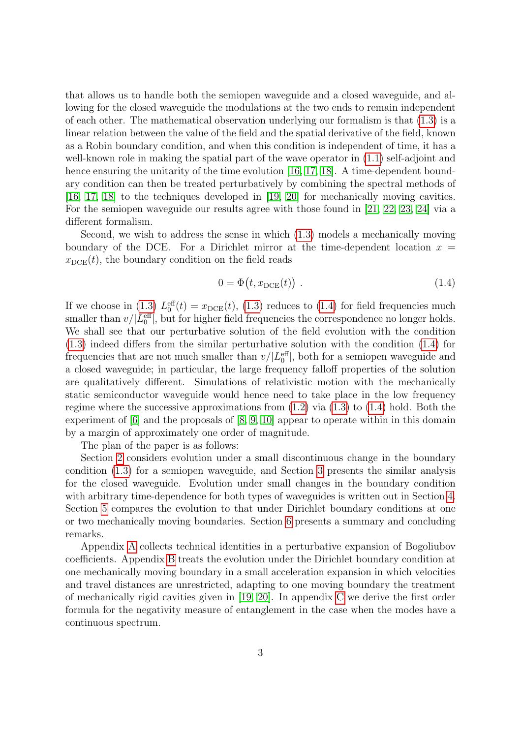that allows us to handle both the semiopen waveguide and a closed waveguide, and allowing for the closed waveguide the modulations at the two ends to remain independent of each other. The mathematical observation underlying our formalism is that [\(1.3\)](#page-1-1) is a linear relation between the value of the field and the spatial derivative of the field, known as a Robin boundary condition, and when this condition is independent of time, it has a well-known role in making the spatial part of the wave operator in  $(1.1)$  self-adjoint and hence ensuring the unitarity of the time evolution [\[16,](#page-26-3) [17,](#page-26-4) [18\]](#page-26-5). A time-dependent boundary condition can then be treated perturbatively by combining the spectral methods of [\[16,](#page-26-3) [17,](#page-26-4) [18\]](#page-26-5) to the techniques developed in [\[19,](#page-26-6) [20\]](#page-26-7) for mechanically moving cavities. For the semiopen waveguide our results agree with those found in [\[21,](#page-26-8) [22,](#page-26-9) [23,](#page-26-10) [24\]](#page-26-11) via a different formalism.

Second, we wish to address the sense in which [\(1.3\)](#page-1-1) models a mechanically moving boundary of the DCE. For a Dirichlet mirror at the time-dependent location  $x =$  $x_{\text{DCE}}(t)$ , the boundary condition on the field reads

<span id="page-2-0"></span>
$$
0 = \Phi(t, x_{\text{DCE}}(t)). \qquad (1.4)
$$

If we choose in [\(1.3\)](#page-1-1)  $L_0^{\text{eff}}(t) = x_{\text{DCE}}(t)$ , (1.3) reduces to [\(1.4\)](#page-2-0) for field frequencies much smaller than  $v/|L_0^{\text{eff}}|$ , but for higher field frequencies the correspondence no longer holds. We shall see that our perturbative solution of the field evolution with the condition [\(1.3\)](#page-1-1) indeed differs from the similar perturbative solution with the condition [\(1.4\)](#page-2-0) for frequencies that are not much smaller than  $v/|L_0^{\text{eff}}|$ , both for a semiopen waveguide and a closed waveguide; in particular, the large frequency falloff properties of the solution are qualitatively different. Simulations of relativistic motion with the mechanically static semiconductor waveguide would hence need to take place in the low frequency regime where the successive approximations from  $(1.2)$  via  $(1.3)$  to  $(1.4)$  hold. Both the experiment of [\[6\]](#page-25-5) and the proposals of [\[8,](#page-25-7) [9,](#page-25-8) [10\]](#page-25-9) appear to operate within in this domain by a margin of approximately one order of magnitude.

The plan of the paper is as follows:

Section [2](#page-3-0) considers evolution under a small discontinuous change in the boundary condition [\(1.3\)](#page-1-1) for a semiopen waveguide, and Section [3](#page-6-0) presents the similar analysis for the closed waveguide. Evolution under small changes in the boundary condition with arbitrary time-dependence for both types of waveguides is written out in Section [4.](#page-9-0) Section [5](#page-12-0) compares the evolution to that under Dirichlet boundary conditions at one or two mechanically moving boundaries. Section [6](#page-16-0) presents a summary and concluding remarks.

Appendix [A](#page-17-0) collects technical identities in a perturbative expansion of Bogoliubov coefficients. Appendix [B](#page-18-0) treats the evolution under the Dirichlet boundary condition at one mechanically moving boundary in a small acceleration expansion in which velocities and travel distances are unrestricted, adapting to one moving boundary the treatment of mechanically rigid cavities given in [\[19,](#page-26-6) [20\]](#page-26-7). In appendix [C](#page-21-0) we derive the first order formula for the negativity measure of entanglement in the case when the modes have a continuous spectrum.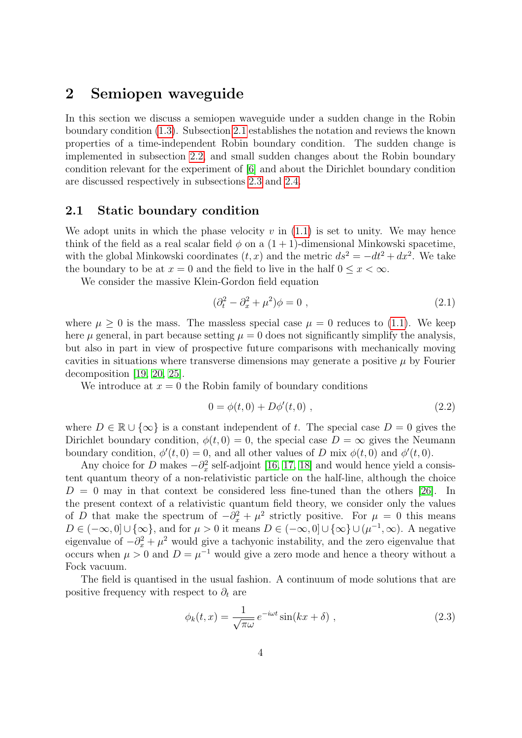# <span id="page-3-0"></span>2 Semiopen waveguide

In this section we discuss a semiopen waveguide under a sudden change in the Robin boundary condition [\(1.3\)](#page-1-1). Subsection [2.1](#page-3-1) establishes the notation and reviews the known properties of a time-independent Robin boundary condition. The sudden change is implemented in subsection [2.2,](#page-4-0) and small sudden changes about the Robin boundary condition relevant for the experiment of [\[6\]](#page-25-5) and about the Dirichlet boundary condition are discussed respectively in subsections [2.3](#page-5-0) and [2.4.](#page-6-1)

### <span id="page-3-1"></span>2.1 Static boundary condition

We adopt units in which the phase velocity  $v$  in  $(1.1)$  is set to unity. We may hence think of the field as a real scalar field  $\phi$  on a  $(1 + 1)$ -dimensional Minkowski spacetime, with the global Minkowski coordinates  $(t, x)$  and the metric  $ds^2 = -dt^2 + dx^2$ . We take the boundary to be at  $x = 0$  and the field to live in the half  $0 \leq x < \infty$ .

We consider the massive Klein-Gordon field equation

<span id="page-3-4"></span>
$$
(\partial_t^2 - \partial_x^2 + \mu^2)\phi = 0 , \qquad (2.1)
$$

where  $\mu \geq 0$  is the mass. The massless special case  $\mu = 0$  reduces to [\(1.1\)](#page-1-2). We keep here  $\mu$  general, in part because setting  $\mu = 0$  does not significantly simplify the analysis, but also in part in view of prospective future comparisons with mechanically moving cavities in situations where transverse dimensions may generate a positive  $\mu$  by Fourier decomposition [\[19,](#page-26-6) [20,](#page-26-7) [25\]](#page-26-12).

We introduce at  $x = 0$  the Robin family of boundary conditions

<span id="page-3-2"></span>
$$
0 = \phi(t, 0) + D\phi'(t, 0) , \qquad (2.2)
$$

where  $D \in \mathbb{R} \cup \{\infty\}$  is a constant independent of t. The special case  $D = 0$  gives the Dirichlet boundary condition,  $\phi(t, 0) = 0$ , the special case  $D = \infty$  gives the Neumann boundary condition,  $\phi'(t,0) = 0$ , and all other values of D mix  $\phi(t,0)$  and  $\phi'(t,0)$ .

Any choice for D makes  $-\partial_x^2$  self-adjoint [\[16,](#page-26-3) [17,](#page-26-4) [18\]](#page-26-5) and would hence yield a consistent quantum theory of a non-relativistic particle on the half-line, although the choice  $D = 0$  may in that context be considered less fine-tuned than the others [\[26\]](#page-27-0). In the present context of a relativistic quantum field theory, we consider only the values of D that make the spectrum of  $-\partial_x^2 + \mu^2$  strictly positive. For  $\mu = 0$  this means  $D \in (-\infty, 0] \cup \{\infty\}$ , and for  $\mu > 0$  it means  $D \in (-\infty, 0] \cup \{\infty\} \cup (\mu^{-1}, \infty)$ . A negative eigenvalue of  $-\partial_x^2 + \mu^2$  would give a tachyonic instability, and the zero eigenvalue that occurs when  $\mu > 0$  and  $D = \mu^{-1}$  would give a zero mode and hence a theory without a Fock vacuum.

The field is quantised in the usual fashion. A continuum of mode solutions that are positive frequency with respect to  $\partial_t$  are

<span id="page-3-3"></span>
$$
\phi_k(t,x) = \frac{1}{\sqrt{\pi \omega}} e^{-i\omega t} \sin(kx + \delta) , \qquad (2.3)
$$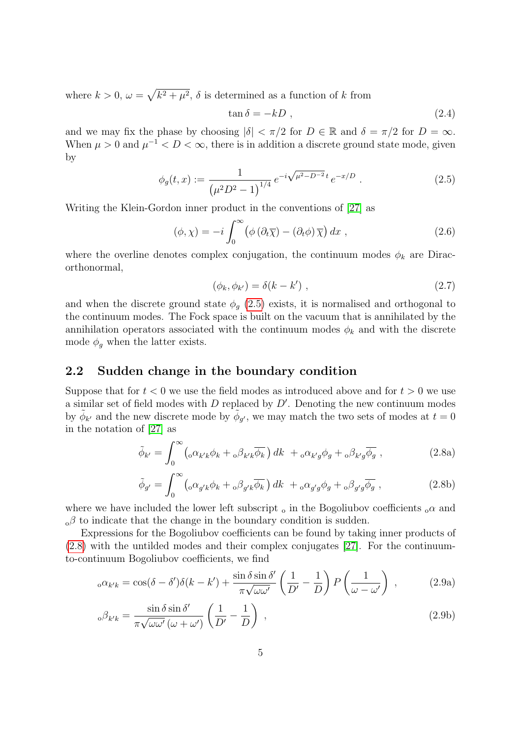where  $k > 0$ ,  $\omega = \sqrt{k^2 + \mu^2}$ ,  $\delta$  is determined as a function of k from

<span id="page-4-1"></span>
$$
\tan \delta = -kD \tag{2.4}
$$

and we may fix the phase by choosing  $|\delta| < \pi/2$  for  $D \in \mathbb{R}$  and  $\delta = \pi/2$  for  $D = \infty$ . When  $\mu > 0$  and  $\mu^{-1} < D < \infty$ , there is in addition a discrete ground state mode, given by

$$
\phi_g(t,x) := \frac{1}{\left(\mu^2 D^2 - 1\right)^{1/4}} e^{-i\sqrt{\mu^2 - D^{-2}}t} e^{-x/D} . \tag{2.5}
$$

Writing the Klein-Gordon inner product in the conventions of [\[27\]](#page-27-1) as

$$
(\phi, \chi) = -i \int_0^\infty \left( \phi \left( \partial_t \overline{\chi} \right) - \left( \partial_t \phi \right) \overline{\chi} \right) dx , \qquad (2.6)
$$

where the overline denotes complex conjugation, the continuum modes  $\phi_k$  are Diracorthonormal,

<span id="page-4-6"></span>
$$
(\phi_k, \phi_{k'}) = \delta(k - k') \tag{2.7}
$$

and when the discrete ground state  $\phi_g$  [\(2.5\)](#page-4-1) exists, it is normalised and orthogonal to the continuum modes. The Fock space is built on the vacuum that is annihilated by the annihilation operators associated with the continuum modes  $\phi_k$  and with the discrete mode  $\phi_q$  when the latter exists.

# <span id="page-4-0"></span>2.2 Sudden change in the boundary condition

Suppose that for  $t < 0$  we use the field modes as introduced above and for  $t > 0$  we use a similar set of field modes with  $D$  replaced by  $D'$ . Denoting the new continuum modes by  $\tilde{\phi}_{k'}$  and the new discrete mode by  $\tilde{\phi}_{g'}$ , we may match the two sets of modes at  $t=0$ in the notation of [\[27\]](#page-27-1) as

<span id="page-4-2"></span>
$$
\tilde{\phi}_{k'} = \int_0^\infty \left( \sigma \alpha_{k'k} \phi_k + \sigma \beta_{k'k} \overline{\phi_k} \right) dk + \sigma \alpha_{k'g} \phi_g + \sigma \beta_{k'g} \overline{\phi_g} , \qquad (2.8a)
$$

<span id="page-4-5"></span><span id="page-4-4"></span><span id="page-4-3"></span>
$$
\tilde{\phi}_{g'} = \int_0^\infty \left( \sigma_{g'k} \phi_k + \sigma_{g'k} \overline{\phi_k} \right) dk + \sigma_{g'g} \phi_g + \sigma_{g'g} \overline{\phi_g} , \qquad (2.8b)
$$

where we have included the lower left subscript  $_{0}$  in the Bogoliubov coefficients  $_{0}\alpha$  and  $\alpha$ β to indicate that the change in the boundary condition is sudden.

Expressions for the Bogoliubov coefficients can be found by taking inner products of [\(2.8\)](#page-4-2) with the untilded modes and their complex conjugates [\[27\]](#page-27-1). For the continuumto-continuum Bogoliubov coefficients, we find

$$
{}_{o}\alpha_{k'k} = \cos(\delta - \delta')\delta(k - k') + \frac{\sin\delta\sin\delta'}{\pi\sqrt{\omega\omega'}} \left(\frac{1}{D'} - \frac{1}{D}\right) P\left(\frac{1}{\omega - \omega'}\right) ,\qquad(2.9a)
$$

$$
{}_{\text{o}}\beta_{k'k} = \frac{\sin \delta \sin \delta'}{\pi \sqrt{\omega \omega' (\omega + \omega')}} \left(\frac{1}{D'} - \frac{1}{D}\right) ,\qquad(2.9b)
$$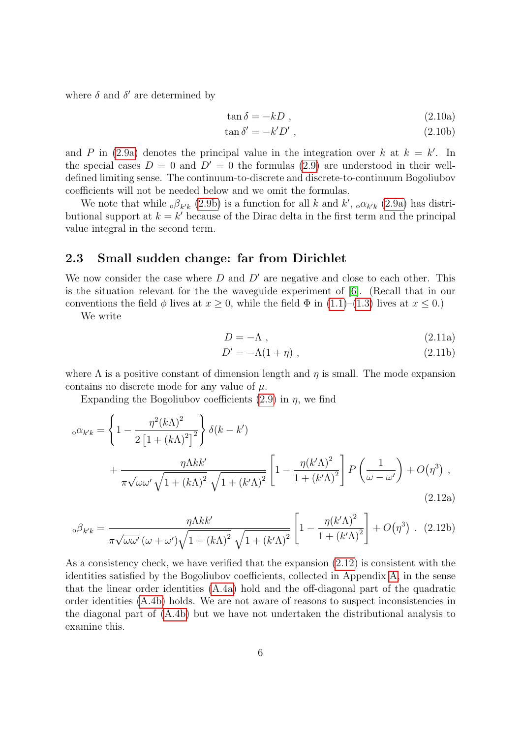where  $\delta$  and  $\delta'$  are determined by

$$
\tan \delta = -kD \tag{2.10a}
$$

$$
\tan \delta' = -k'D'
$$
, (2.10b)

and P in [\(2.9a\)](#page-4-3) denotes the principal value in the integration over k at  $k = k'$ . In the special cases  $D = 0$  and  $D' = 0$  the formulas [\(2.9\)](#page-4-4) are understood in their welldefined limiting sense. The continuum-to-discrete and discrete-to-continuum Bogoliubov coefficients will not be needed below and we omit the formulas.

We note that while  ${}_{\text{o}}\beta_{k'k}$  [\(2.9b\)](#page-4-5) is a function for all k and k',  ${}_{\text{o}}\alpha_{k'k}$  [\(2.9a\)](#page-4-3) has distributional support at  $k = k'$  because of the Dirac delta in the first term and the principal value integral in the second term.

### <span id="page-5-0"></span>2.3 Small sudden change: far from Dirichlet

We now consider the case where  $D$  and  $D'$  are negative and close to each other. This is the situation relevant for the the waveguide experiment of [\[6\]](#page-25-5). (Recall that in our conventions the field  $\phi$  lives at  $x \geq 0$ , while the field  $\Phi$  in [\(1.1\)](#page-1-2)–[\(1.3\)](#page-1-1) lives at  $x \leq 0$ .)

We write

$$
D = -\Lambda \tag{2.11a}
$$

<span id="page-5-1"></span>
$$
D' = -\Lambda(1+\eta) , \qquad (2.11b)
$$

where  $\Lambda$  is a positive constant of dimension length and  $\eta$  is small. The mode expansion contains no discrete mode for any value of  $\mu$ .

Expanding the Bogoliubov coefficients  $(2.9)$  in  $\eta$ , we find

$$
\alpha_{k'k} = \left\{ 1 - \frac{\eta^2 (k\Lambda)^2}{2\left[1 + (k\Lambda)^2\right]^2} \right\} \delta(k - k')
$$
  
+ 
$$
\frac{\eta \Lambda k k'}{\pi \sqrt{\omega \omega'} \sqrt{1 + (k\Lambda)^2} \sqrt{1 + (k'\Lambda)^2}} \left[1 - \frac{\eta (k'\Lambda)^2}{1 + (k'\Lambda)^2} \right] P\left(\frac{1}{\omega - \omega'}\right) + O(\eta^3) , \tag{2.12a}
$$

$$
\omega \beta_{k'k} = \frac{\eta \Lambda k k'}{\pi \sqrt{\omega \omega'} (\omega + \omega') \sqrt{1 + (k \Lambda)^2} \sqrt{1 + (k' \Lambda)^2}} \left[ 1 - \frac{\eta (k' \Lambda)^2}{1 + (k' \Lambda)^2} \right] + O(\eta^3) \quad (2.12b)
$$

As a consistency check, we have verified that the expansion [\(2.12\)](#page-5-1) is consistent with the identities satisfied by the Bogoliubov coefficients, collected in Appendix [A,](#page-17-0) in the sense that the linear order identities [\(A.4a\)](#page-18-1) hold and the off-diagonal part of the quadratic order identities [\(A.4b\)](#page-18-2) holds. We are not aware of reasons to suspect inconsistencies in the diagonal part of [\(A.4b\)](#page-18-2) but we have not undertaken the distributional analysis to examine this.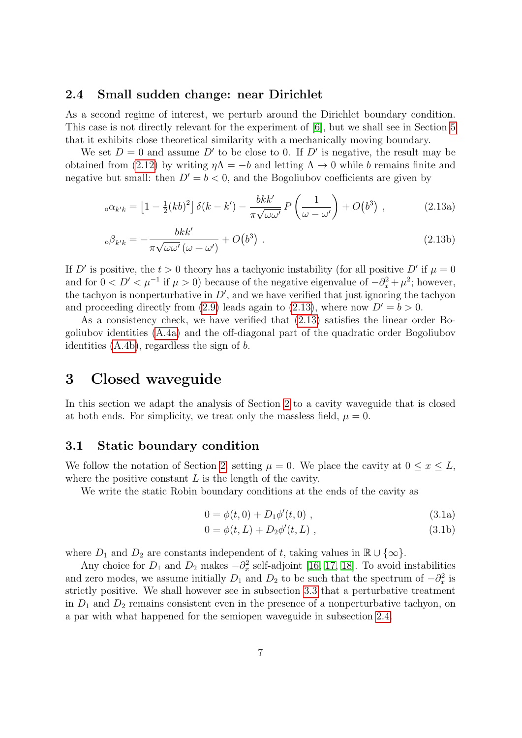### <span id="page-6-1"></span>2.4 Small sudden change: near Dirichlet

As a second regime of interest, we perturb around the Dirichlet boundary condition. This case is not directly relevant for the experiment of [\[6\]](#page-25-5), but we shall see in Section [5](#page-12-0) that it exhibits close theoretical similarity with a mechanically moving boundary.

We set  $D = 0$  and assume D' to be close to 0. If D' is negative, the result may be obtained from [\(2.12\)](#page-5-1) by writing  $\eta \Lambda = -b$  and letting  $\Lambda \to 0$  while b remains finite and negative but small: then  $D' = b < 0$ , and the Bogoliubov coefficients are given by

<span id="page-6-2"></span>
$$
{}_{o}\alpha_{k'k} = \left[1 - \frac{1}{2}(kb)^2\right]\delta(k - k') - \frac{bkk'}{\pi\sqrt{\omega\omega'}}P\left(\frac{1}{\omega - \omega'}\right) + O(b^3) \tag{2.13a}
$$

$$
{}_{\text{o}}\beta_{k'k} = -\frac{bkk'}{\pi\sqrt{\omega\omega'}(\omega+\omega')} + O(b^3) \tag{2.13b}
$$

If D' is positive, the  $t > 0$  theory has a tachyonic instability (for all positive D' if  $\mu = 0$ and for  $0 < D' < \mu^{-1}$  if  $\mu > 0$ ) because of the negative eigenvalue of  $-\partial_x^2 + \mu^2$ ; however, the tachyon is nonperturbative in  $D'$ , and we have verified that just ignoring the tachyon and proceeding directly from [\(2.9\)](#page-4-4) leads again to [\(2.13\)](#page-6-2), where now  $D' = b > 0$ .

As a consistency check, we have verified that [\(2.13\)](#page-6-2) satisfies the linear order Bogoliubov identities [\(A.4a\)](#page-18-1) and the off-diagonal part of the quadratic order Bogoliubov identities [\(A.4b\)](#page-18-2), regardless the sign of b.

# <span id="page-6-0"></span>3 Closed waveguide

In this section we adapt the analysis of Section [2](#page-3-0) to a cavity waveguide that is closed at both ends. For simplicity, we treat only the massless field,  $\mu = 0$ .

### 3.1 Static boundary condition

We follow the notation of Section [2,](#page-3-0) setting  $\mu = 0$ . We place the cavity at  $0 \le x \le L$ , where the positive constant  $L$  is the length of the cavity.

We write the static Robin boundary conditions at the ends of the cavity as

<span id="page-6-3"></span>
$$
0 = \phi(t, 0) + D_1 \phi'(t, 0) , \qquad (3.1a)
$$

$$
0 = \phi(t, L) + D_2 \phi'(t, L) , \qquad (3.1b)
$$

where  $D_1$  and  $D_2$  are constants independent of t, taking values in  $\mathbb{R} \cup \{\infty\}.$ 

Any choice for  $D_1$  and  $D_2$  makes  $-\partial_x^2$  self-adjoint [\[16,](#page-26-3) [17,](#page-26-4) [18\]](#page-26-5). To avoid instabilities and zero modes, we assume initially  $D_1$  and  $D_2$  to be such that the spectrum of  $-\partial_x^2$  is strictly positive. We shall however see in subsection [3.3](#page-8-0) that a perturbative treatment in  $D_1$  and  $D_2$  remains consistent even in the presence of a nonperturbative tachyon, on a par with what happened for the semiopen waveguide in subsection [2.4.](#page-6-1)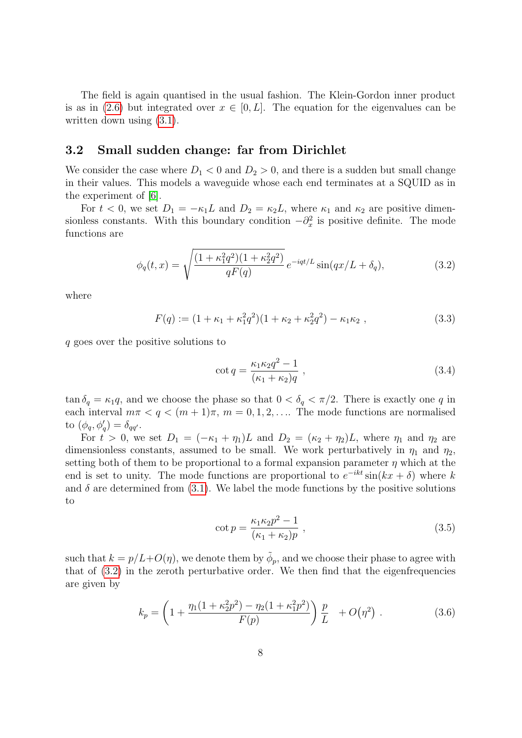The field is again quantised in the usual fashion. The Klein-Gordon inner product is as in [\(2.6\)](#page-4-6) but integrated over  $x \in [0, L]$ . The equation for the eigenvalues can be written down using  $(3.1)$ .

### <span id="page-7-3"></span>3.2 Small sudden change: far from Dirichlet

We consider the case where  $D_1 < 0$  and  $D_2 > 0$ , and there is a sudden but small change in their values. This models a waveguide whose each end terminates at a SQUID as in the experiment of [\[6\]](#page-25-5).

For  $t < 0$ , we set  $D_1 = -\kappa_1 L$  and  $D_2 = \kappa_2 L$ , where  $\kappa_1$  and  $\kappa_2$  are positive dimensionless constants. With this boundary condition  $-\partial_x^2$  is positive definite. The mode functions are

$$
\phi_q(t,x) = \sqrt{\frac{(1 + \kappa_1^2 q^2)(1 + \kappa_2^2 q^2)}{qF(q)}} e^{-iqt/L} \sin(qx/L + \delta_q), \tag{3.2}
$$

where

$$
F(q) := (1 + \kappa_1 + \kappa_1^2 q^2)(1 + \kappa_2 + \kappa_2^2 q^2) - \kappa_1 \kappa_2 ,
$$
\n(3.3)

q goes over the positive solutions to

<span id="page-7-1"></span><span id="page-7-0"></span>
$$
\cot q = \frac{\kappa_1 \kappa_2 q^2 - 1}{(\kappa_1 + \kappa_2)q} \,, \tag{3.4}
$$

 $\tan \delta_q = \kappa_1 q$ , and we choose the phase so that  $0 < \delta_q < \pi/2$ . There is exactly one q in each interval  $m\pi < q < (m+1)\pi$ ,  $m = 0, 1, 2, \dots$  The mode functions are normalised to  $(\phi_q, \phi'_q) = \delta_{qq'}$ .

For  $t > 0$ , we set  $D_1 = (-\kappa_1 + \eta_1)L$  and  $D_2 = (\kappa_2 + \eta_2)L$ , where  $\eta_1$  and  $\eta_2$  are dimensionless constants, assumed to be small. We work perturbatively in  $\eta_1$  and  $\eta_2$ , setting both of them to be proportional to a formal expansion parameter  $\eta$  which at the end is set to unity. The mode functions are proportional to  $e^{-ikt} \sin(kx + \delta)$  where k and  $\delta$  are determined from [\(3.1\)](#page-6-3). We label the mode functions by the positive solutions to

<span id="page-7-2"></span>
$$
\cot p = \frac{\kappa_1 \kappa_2 p^2 - 1}{(\kappa_1 + \kappa_2)p},
$$
\n(3.5)

such that  $k = p/L + O(\eta)$ , we denote them by  $\tilde{\phi}_p$ , and we choose their phase to agree with that of [\(3.2\)](#page-7-0) in the zeroth perturbative order. We then find that the eigenfrequencies are given by

$$
k_p = \left(1 + \frac{\eta_1 (1 + \kappa_2^2 p^2) - \eta_2 (1 + \kappa_1^2 p^2)}{F(p)}\right) \frac{p}{L} + O(\eta^2) . \tag{3.6}
$$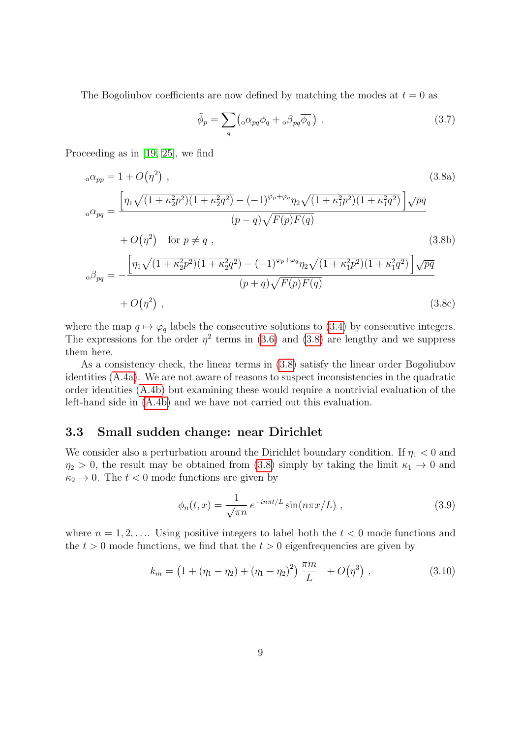The Bogoliubov coefficients are now defined by matching the modes at  $t = 0$  as

<span id="page-8-2"></span><span id="page-8-1"></span>
$$
\tilde{\phi}_p = \sum_q \left( {}_{\text{o}} \alpha_{pq} \phi_q + {}_{\text{o}} \beta_{pq} \overline{\phi_q} \right) \,. \tag{3.7}
$$

Proceeding as in [\[19,](#page-26-6) [25\]](#page-26-12), we find

$$
{}_{o}\alpha_{pp} = 1 + O(\eta^{2}) , \qquad (3.8a)
$$
\n
$$
{}_{o}\alpha_{pq} = \frac{\left[\eta_{1}\sqrt{(1 + \kappa_{2}^{2}p^{2})(1 + \kappa_{2}^{2}q^{2})} - (-1)^{\varphi_{p} + \varphi_{q}}\eta_{2}\sqrt{(1 + \kappa_{1}^{2}p^{2})(1 + \kappa_{1}^{2}q^{2})}\right]\sqrt{pq}}{(p - q)\sqrt{F(p)F(q)}} \qquad (3.8b)
$$
\n
$$
{}_{o}\beta_{pq} = -\frac{\left[\eta_{1}\sqrt{(1 + \kappa_{2}^{2}p^{2})(1 + \kappa_{2}^{2}q^{2})} - (-1)^{\varphi_{p} + \varphi_{q}}\eta_{2}\sqrt{(1 + \kappa_{1}^{2}p^{2})(1 + \kappa_{1}^{2}q^{2})}\right]\sqrt{pq}}{(p + q)\sqrt{F(p)F(q)}} \qquad (3.8c)
$$

where the map  $q \mapsto \varphi_q$  labels the consecutive solutions to [\(3.4\)](#page-7-1) by consecutive integers. The expressions for the order  $\eta^2$  terms in [\(3.6\)](#page-7-2) and [\(3.8\)](#page-8-1) are lengthy and we suppress them here.

As a consistency check, the linear terms in [\(3.8\)](#page-8-1) satisfy the linear order Bogoliubov identities [\(A.4a\)](#page-18-1). We are not aware of reasons to suspect inconsistencies in the quadratic order identities [\(A.4b\)](#page-18-2) but examining these would require a nontrivial evaluation of the left-hand side in [\(A.4b\)](#page-18-2) and we have not carried out this evaluation.

### <span id="page-8-0"></span>3.3 Small sudden change: near Dirichlet

We consider also a perturbation around the Dirichlet boundary condition. If  $\eta_1 < 0$  and  $\eta_2 > 0$ , the result may be obtained from [\(3.8\)](#page-8-1) simply by taking the limit  $\kappa_1 \to 0$  and  $\kappa_2 \rightarrow 0$ . The  $t < 0$  mode functions are given by

<span id="page-8-3"></span>
$$
\phi_n(t,x) = \frac{1}{\sqrt{\pi n}} e^{-in\pi t/L} \sin(n\pi x/L) , \qquad (3.9)
$$

where  $n = 1, 2, \ldots$  Using positive integers to label both the  $t < 0$  mode functions and the  $t > 0$  mode functions, we find that the  $t > 0$  eigenfrequencies are given by

$$
k_m = \left(1 + (\eta_1 - \eta_2) + (\eta_1 - \eta_2)^2\right) \frac{\pi m}{L} + O(\eta^3) , \qquad (3.10)
$$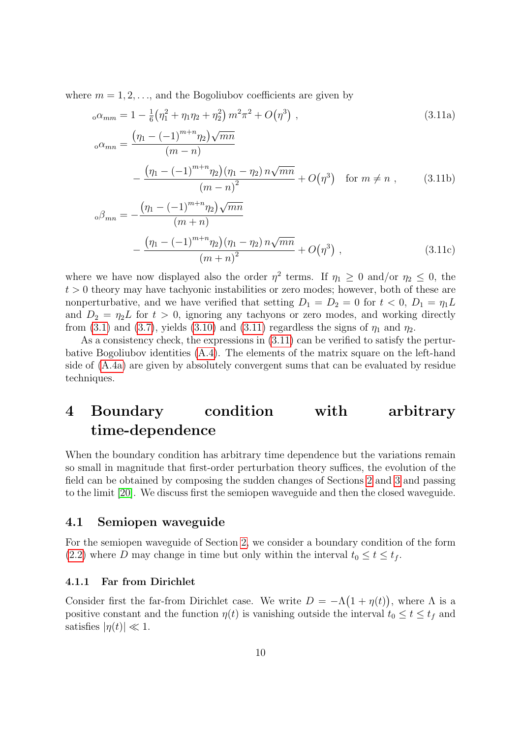where  $m = 1, 2, \ldots$ , and the Bogoliubov coefficients are given by

<span id="page-9-1"></span>
$$
{}_{o}\alpha_{mm} = 1 - \frac{1}{6} \left(\eta_{1}^{2} + \eta_{1}\eta_{2} + \eta_{2}^{2}\right) m^{2} \pi^{2} + O(\eta^{3}) ,
$$
\n
$$
{}_{o}\alpha_{mn} = \frac{\left(\eta_{1} - (-1)^{m+n}\eta_{2}\right)\sqrt{mn}}{(m-n)} - \frac{\left(\eta_{1} - (-1)^{m+n}\eta_{2}\right)\left(\eta_{1} - \eta_{2}\right)n\sqrt{mn}}{(m-n)^{2}} + O(\eta^{3}) \quad \text{for } m \neq n ,
$$
\n(3.11b)

$$
\beta_{mn} = -\frac{\left(\eta_1 - (-1)^{m+n} \eta_2\right) \sqrt{mn}}{\left(m+n\right)} - \frac{\left(\eta_1 - (-1)^{m+n} \eta_2\right) \left(\eta_1 - \eta_2\right) n \sqrt{mn}}{\left(m+n\right)^2} + O(\eta^3) ,\qquad (3.11c)
$$

where we have now displayed also the order  $\eta^2$  terms. If  $\eta_1 \geq 0$  and/or  $\eta_2 \leq 0$ , the  $t > 0$  theory may have tachyonic instabilities or zero modes; however, both of these are nonperturbative, and we have verified that setting  $D_1 = D_2 = 0$  for  $t < 0$ ,  $D_1 = \eta_1 L$ and  $D_2 = \eta_2 L$  for  $t > 0$ , ignoring any tachyons or zero modes, and working directly from [\(3.1\)](#page-6-3) and [\(3.7\)](#page-8-2), yields [\(3.10\)](#page-8-3) and [\(3.11\)](#page-9-1) regardless the signs of  $\eta_1$  and  $\eta_2$ .

As a consistency check, the expressions in [\(3.11\)](#page-9-1) can be verified to satisfy the perturbative Bogoliubov identities [\(A.4\)](#page-18-3). The elements of the matrix square on the left-hand side of [\(A.4a\)](#page-18-1) are given by absolutely convergent sums that can be evaluated by residue techniques.

# <span id="page-9-0"></span>4 Boundary condition with arbitrary time-dependence

When the boundary condition has arbitrary time dependence but the variations remain so small in magnitude that first-order perturbation theory suffices, the evolution of the field can be obtained by composing the sudden changes of Sections [2](#page-3-0) and [3](#page-6-0) and passing to the limit [\[20\]](#page-26-7). We discuss first the semiopen waveguide and then the closed waveguide.

### <span id="page-9-2"></span>4.1 Semiopen waveguide

For the semiopen waveguide of Section [2,](#page-3-0) we consider a boundary condition of the form [\(2.2\)](#page-3-2) where D may change in time but only within the interval  $t_0 \le t \le t_f$ .

#### 4.1.1 Far from Dirichlet

Consider first the far-from Dirichlet case. We write  $D = -\Lambda(1 + \eta(t))$ , where  $\Lambda$  is a positive constant and the function  $\eta(t)$  is vanishing outside the interval  $t_0 \leq t \leq t_f$  and satisfies  $|\eta(t)| \ll 1$ .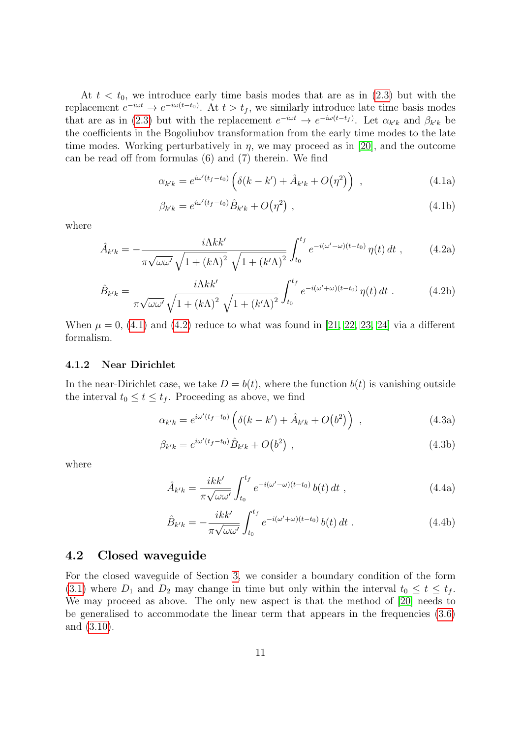At  $t < t_0$ , we introduce early time basis modes that are as in  $(2.3)$  but with the replacement  $e^{-i\omega t} \to e^{-i\omega(t-t_0)}$ . At  $t > t_f$ , we similarly introduce late time basis modes that are as in [\(2.3\)](#page-3-3) but with the replacement  $e^{-i\omega t} \to e^{-i\omega(t-t_f)}$ . Let  $\alpha_{k'k}$  and  $\beta_{k'k}$  be the coefficients in the Bogoliubov transformation from the early time modes to the late time modes. Working perturbatively in  $\eta$ , we may proceed as in [\[20\]](#page-26-7), and the outcome can be read off from formulas (6) and (7) therein. We find

<span id="page-10-0"></span>
$$
\alpha_{k'k} = e^{i\omega'(t_f - t_0)} \left( \delta(k - k') + \hat{A}_{k'k} + O(\eta^2) \right) , \qquad (4.1a)
$$

$$
\beta_{k'k} = e^{i\omega'(t_f - t_0)} \hat{B}_{k'k} + O(\eta^2) \tag{4.1b}
$$

where

<span id="page-10-1"></span>
$$
\hat{A}_{k'k} = -\frac{i\Lambda k k'}{\pi\sqrt{\omega\omega'}}\frac{i\Lambda k k'}{\sqrt{1 + (k\Lambda)^2}}\int_{t_0}^{t_f} e^{-i(\omega'-\omega)(t-t_0)}\,\eta(t)\,dt\,,\tag{4.2a}
$$

$$
\hat{B}_{k'k} = \frac{i\Lambda k k'}{\pi\sqrt{\omega\omega'}\sqrt{1 + (k\Lambda)^2}\sqrt{1 + (k'\Lambda)^2}} \int_{t_0}^{t_f} e^{-i(\omega' + \omega)(t - t_0)} \eta(t) dt . \tag{4.2b}
$$

When  $\mu = 0$ , [\(4.1\)](#page-10-0) and [\(4.2\)](#page-10-1) reduce to what was found in [\[21,](#page-26-8) [22,](#page-26-9) [23,](#page-26-10) [24\]](#page-26-11) via a different formalism.

#### 4.1.2 Near Dirichlet

In the near-Dirichlet case, we take  $D = b(t)$ , where the function  $b(t)$  is vanishing outside the interval  $t_0 \le t \le t_f$ . Proceeding as above, we find

<span id="page-10-2"></span>
$$
\alpha_{k'k} = e^{i\omega'(t_f - t_0)} \left( \delta(k - k') + \hat{A}_{k'k} + O(b^2) \right) , \qquad (4.3a)
$$

$$
\beta_{k'k} = e^{i\omega'(t_f - t_0)} \hat{B}_{k'k} + O(b^2) \tag{4.3b}
$$

<span id="page-10-3"></span>where

$$
\hat{A}_{k'k} = \frac{ikk'}{\pi\sqrt{\omega\omega'}} \int_{t_0}^{t_f} e^{-i(\omega'-\omega)(t-t_0)} b(t) dt , \qquad (4.4a)
$$

$$
\hat{B}_{k'k} = -\frac{ikk'}{\pi\sqrt{\omega\omega'}} \int_{t_0}^{t_f} e^{-i(\omega' + \omega)(t - t_0)} b(t) dt . \qquad (4.4b)
$$

## <span id="page-10-4"></span>4.2 Closed waveguide

For the closed waveguide of Section [3,](#page-6-0) we consider a boundary condition of the form [\(3.1\)](#page-6-3) where  $D_1$  and  $D_2$  may change in time but only within the interval  $t_0 \leq t \leq t_f$ . We may proceed as above. The only new aspect is that the method of [\[20\]](#page-26-7) needs to be generalised to accommodate the linear term that appears in the frequencies [\(3.6\)](#page-7-2) and [\(3.10\)](#page-8-3).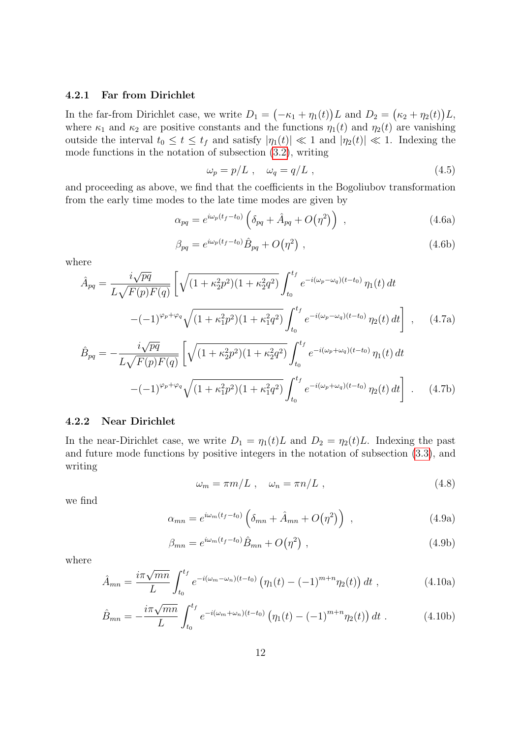#### 4.2.1 Far from Dirichlet

In the far-from Dirichlet case, we write  $D_1 = (-\kappa_1 + \eta_1(t))L$  and  $D_2 = (\kappa_2 + \eta_2(t))L$ , where  $\kappa_1$  and  $\kappa_2$  are positive constants and the functions  $\eta_1(t)$  and  $\eta_2(t)$  are vanishing outside the interval  $t_0 \le t \le t_f$  and satisfy  $|\eta_1(t)| \ll 1$  and  $|\eta_2(t)| \ll 1$ . Indexing the mode functions in the notation of subsection [\(3.2\)](#page-7-3), writing

<span id="page-11-3"></span>
$$
\omega_p = p/L \;, \quad \omega_q = q/L \;, \tag{4.5}
$$

and proceeding as above, we find that the coefficients in the Bogoliubov transformation from the early time modes to the late time modes are given by

$$
\alpha_{pq} = e^{i\omega_p(t_f - t_0)} \left( \delta_{pq} + \hat{A}_{pq} + O(\eta^2) \right) , \qquad (4.6a)
$$

$$
\beta_{pq} = e^{i\omega_p(t_f - t_0)} \hat{B}_{pq} + O(\eta^2) , \qquad (4.6b)
$$

where

<span id="page-11-4"></span>
$$
\hat{A}_{pq} = \frac{i\sqrt{pq}}{L\sqrt{F(p)F(q)}} \left[ \sqrt{(1+\kappa_2^2 p^2)(1+\kappa_2^2 q^2)} \int_{t_0}^{t_f} e^{-i(\omega_p - \omega_q)(t-t_0)} \eta_1(t) dt - (-1)^{\varphi_p + \varphi_q} \sqrt{(1+\kappa_1^2 p^2)(1+\kappa_1^2 q^2)} \int_{t_0}^{t_f} e^{-i(\omega_p - \omega_q)(t-t_0)} \eta_2(t) dt \right], \quad (4.7a)
$$

$$
\hat{B}_{pq} = -\frac{i\sqrt{pq}}{L\sqrt{F(p)F(q)}} \left[ \sqrt{(1+\kappa_2^2 p^2)(1+\kappa_2^2 q^2)} \int_{t_0}^{t_f} e^{-i(\omega_p+\omega_q)(t-t_0)} \eta_1(t) dt - (-1)^{\varphi_p+\varphi_q} \sqrt{(1+\kappa_1^2 p^2)(1+\kappa_1^2 q^2)} \int_{t_0}^{t_f} e^{-i(\omega_p+\omega_q)(t-t_0)} \eta_2(t) dt \right].
$$
\n(4.7b)

#### 4.2.2 Near Dirichlet

In the near-Dirichlet case, we write  $D_1 = \eta_1(t)L$  and  $D_2 = \eta_2(t)L$ . Indexing the past and future mode functions by positive integers in the notation of subsection [\(3.3\)](#page-8-0), and writing

<span id="page-11-0"></span>
$$
\omega_m = \pi m/L \ , \quad \omega_n = \pi n/L \ , \tag{4.8}
$$

<span id="page-11-1"></span>we find

$$
\alpha_{mn} = e^{i\omega_m(t_f - t_0)} \left( \delta_{mn} + \hat{A}_{mn} + O(\eta^2) \right) , \qquad (4.9a)
$$

$$
\beta_{mn} = e^{i\omega_m(t_f - t_0)} \hat{B}_{mn} + O(\eta^2) , \qquad (4.9b)
$$

where

<span id="page-11-2"></span>
$$
\hat{A}_{mn} = \frac{i\pi\sqrt{mn}}{L} \int_{t_0}^{t_f} e^{-i(\omega_m - \omega_n)(t - t_0)} \left( \eta_1(t) - (-1)^{m+n} \eta_2(t) \right) dt , \qquad (4.10a)
$$

$$
\hat{B}_{mn} = -\frac{i\pi\sqrt{mn}}{L} \int_{t_0}^{t_f} e^{-i(\omega_m + \omega_n)(t - t_0)} \left( \eta_1(t) - (-1)^{m+n} \eta_2(t) \right) dt . \tag{4.10b}
$$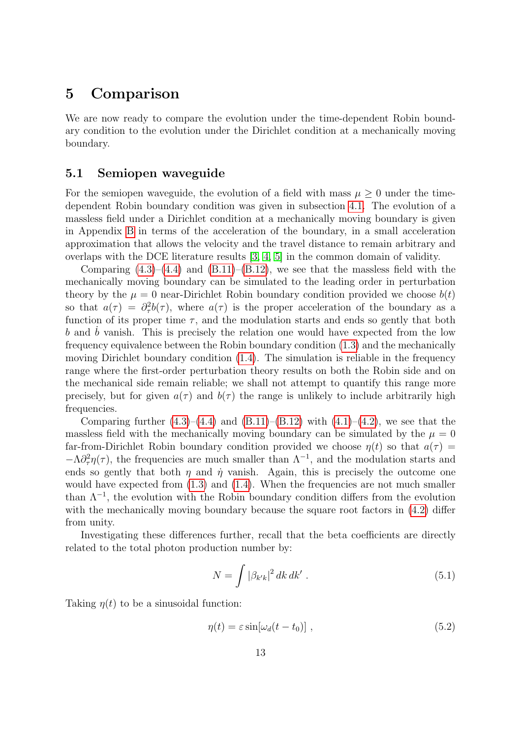# <span id="page-12-0"></span>5 Comparison

We are now ready to compare the evolution under the time-dependent Robin boundary condition to the evolution under the Dirichlet condition at a mechanically moving boundary.

## 5.1 Semiopen waveguide

For the semiopen waveguide, the evolution of a field with mass  $\mu \geq 0$  under the timedependent Robin boundary condition was given in subsection [4.1.](#page-9-2) The evolution of a massless field under a Dirichlet condition at a mechanically moving boundary is given in Appendix [B](#page-18-0) in terms of the acceleration of the boundary, in a small acceleration approximation that allows the velocity and the travel distance to remain arbitrary and overlaps with the DCE literature results [\[3,](#page-25-2) [4,](#page-25-3) [5\]](#page-25-4) in the common domain of validity.

Comparing  $(4.3)$ – $(4.4)$  and  $(B.11)$ – $(B.12)$ , we see that the massless field with the mechanically moving boundary can be simulated to the leading order in perturbation theory by the  $\mu = 0$  near-Dirichlet Robin boundary condition provided we choose  $b(t)$ so that  $a(\tau) = \partial_{\tau}^2 b(\tau)$ , where  $a(\tau)$  is the proper acceleration of the boundary as a function of its proper time  $\tau$ , and the modulation starts and ends so gently that both  $b$  and  $b$  vanish. This is precisely the relation one would have expected from the low frequency equivalence between the Robin boundary condition [\(1.3\)](#page-1-1) and the mechanically moving Dirichlet boundary condition [\(1.4\)](#page-2-0). The simulation is reliable in the frequency range where the first-order perturbation theory results on both the Robin side and on the mechanical side remain reliable; we shall not attempt to quantify this range more precisely, but for given  $a(\tau)$  and  $b(\tau)$  the range is unlikely to include arbitrarily high frequencies.

Comparing further  $(4.3)$ – $(4.4)$  and  $(B.11)$ – $(B.12)$  with  $(4.1)$ – $(4.2)$ , we see that the massless field with the mechanically moving boundary can be simulated by the  $\mu = 0$ far-from-Dirichlet Robin boundary condition provided we choose  $\eta(t)$  so that  $a(\tau)$  $-\Lambda \partial^2_{\tau} \eta(\tau)$ , the frequencies are much smaller than  $\Lambda^{-1}$ , and the modulation starts and ends so gently that both  $\eta$  and  $\dot{\eta}$  vanish. Again, this is precisely the outcome one would have expected from  $(1.3)$  and  $(1.4)$ . When the frequencies are not much smaller than  $\Lambda^{-1}$ , the evolution with the Robin boundary condition differs from the evolution with the mechanically moving boundary because the square root factors in  $(4.2)$  differ from unity.

Investigating these differences further, recall that the beta coefficients are directly related to the total photon production number by:

$$
N = \int |\beta_{k'k}|^2 dk dk' . \qquad (5.1)
$$

Taking  $\eta(t)$  to be a sinusoidal function:

<span id="page-12-1"></span>
$$
\eta(t) = \varepsilon \sin[\omega_d(t - t_0)], \qquad (5.2)
$$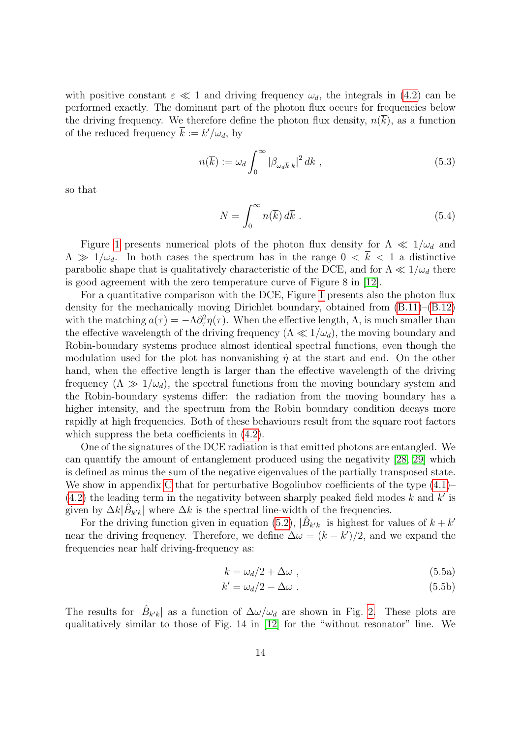with positive constant  $\varepsilon \ll 1$  and driving frequency  $\omega_d$ , the integrals in [\(4.2\)](#page-10-1) can be performed exactly. The dominant part of the photon flux occurs for frequencies below the driving frequency. We therefore define the photon flux density,  $n(k)$ , as a function of the reduced frequency  $\bar{k} := k'/\omega_d$ , by

$$
n(\overline{k}) := \omega_d \int_0^\infty |\beta_{\omega_d \overline{k} k}|^2 dk , \qquad (5.3)
$$

so that

<span id="page-13-0"></span>
$$
N = \int_0^\infty n(\overline{k}) \, d\overline{k} \; . \tag{5.4}
$$

Figure [1](#page-14-0) presents numerical plots of the photon flux density for  $\Lambda \ll 1/\omega_d$  and  $\Lambda \gg 1/\omega_d$ . In both cases the spectrum has in the range  $0 < \overline{k} < 1$  a distinctive parabolic shape that is qualitatively characteristic of the DCE, and for  $\Lambda \ll 1/\omega_d$  there is good agreement with the zero temperature curve of Figure 8 in [\[12\]](#page-25-11).

For a quantitative comparison with the DCE, Figure [1](#page-14-0) presents also the photon flux density for the mechanically moving Dirichlet boundary, obtained from [\(B.11\)](#page-20-0)–[\(B.12\)](#page-20-1) with the matching  $a(\tau) = -\Lambda \partial_{\tau}^2 \eta(\tau)$ . When the effective length,  $\Lambda$ , is much smaller than the effective wavelength of the driving frequency  $(\Lambda \ll 1/\omega_d)$ , the moving boundary and Robin-boundary systems produce almost identical spectral functions, even though the modulation used for the plot has nonvanishing  $\dot{\eta}$  at the start and end. On the other hand, when the effective length is larger than the effective wavelength of the driving frequency  $(\Lambda \gg 1/\omega_d)$ , the spectral functions from the moving boundary system and the Robin-boundary systems differ: the radiation from the moving boundary has a higher intensity, and the spectrum from the Robin boundary condition decays more rapidly at high frequencies. Both of these behaviours result from the square root factors which suppress the beta coefficients in  $(4.2)$ .

One of the signatures of the DCE radiation is that emitted photons are entangled. We can quantify the amount of entanglement produced using the negativity [\[28,](#page-27-2) [29\]](#page-27-3) which is defined as minus the sum of the negative eigenvalues of the partially transposed state. We show in appendix [C](#page-21-0) that for perturbative Bogoliubov coefficients of the type  $(4.1)$ –  $(4.2)$  the leading term in the negativity between sharply peaked field modes k and k' is given by  $\Delta k|\hat{B}_{k'k}|$  where  $\Delta k$  is the spectral line-width of the frequencies.

For the driving function given in equation [\(5.2\)](#page-12-1),  $|\hat{B}_{k'k}|$  is highest for values of  $k + k'$ near the driving frequency. Therefore, we define  $\Delta \omega = (k - k')/2$ , and we expand the frequencies near half driving-frequency as:

$$
k = \omega_d/2 + \Delta\omega \tag{5.5a}
$$

$$
k' = \omega_d/2 - \Delta\omega \tag{5.5b}
$$

The results for  $|\hat{B}_{k'k}|$  as a function of  $\Delta\omega/\omega_d$  are shown in Fig. [2.](#page-14-1) These plots are qualitatively similar to those of Fig. 14 in [\[12\]](#page-25-11) for the "without resonator" line. We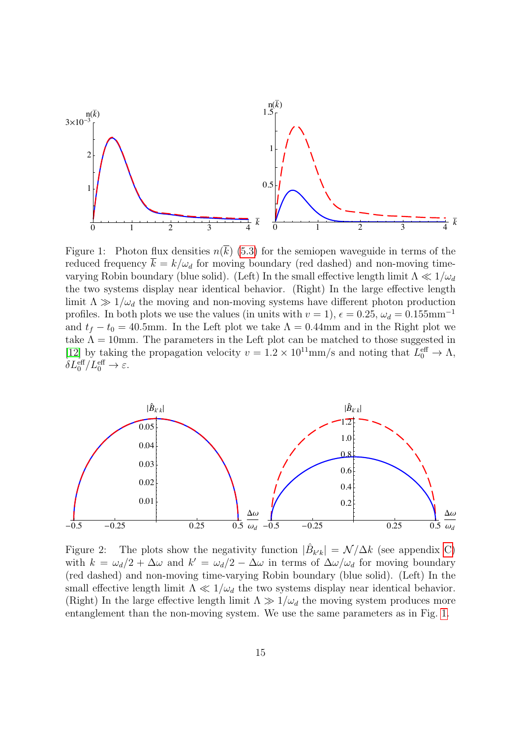

<span id="page-14-0"></span>Figure 1: Photon flux densities  $n(\overline{k})$  [\(5.3\)](#page-13-0) for the semiopen waveguide in terms of the reduced frequency  $\overline{k} = k/\omega_d$  for moving boundary (red dashed) and non-moving timevarying Robin boundary (blue solid). (Left) In the small effective length limit  $\Lambda \ll 1/\omega_d$ the two systems display near identical behavior. (Right) In the large effective length limit  $\Lambda \gg 1/\omega_d$  the moving and non-moving systems have different photon production profiles. In both plots we use the values (in units with  $v = 1$ ),  $\epsilon = 0.25$ ,  $\omega_d = 0.155$ mm<sup>-1</sup> and  $t_f - t_0 = 40.5$ mm. In the Left plot we take  $\Lambda = 0.44$ mm and in the Right plot we take  $\Lambda = 10$ mm. The parameters in the Left plot can be matched to those suggested in [\[12\]](#page-25-11) by taking the propagation velocity  $v = 1.2 \times 10^{11}$ mm/s and noting that  $L_0^{\text{eff}} \to \Lambda$ ,  $\delta L_0^{\text{eff}}/L_0^{\text{eff}} \to \varepsilon.$ 



<span id="page-14-1"></span>Figure 2: The plots show the negativity function  $|\hat{B}_{k'k}| = \mathcal{N}/\Delta k$  (see appendix [C\)](#page-21-0) with  $k = \omega_d/2 + \Delta \omega$  and  $k' = \omega_d/2 - \Delta \omega$  in terms of  $\Delta \omega / \omega_d$  for moving boundary (red dashed) and non-moving time-varying Robin boundary (blue solid). (Left) In the small effective length limit  $\Lambda \ll 1/\omega_d$  the two systems display near identical behavior. (Right) In the large effective length limit  $\Lambda \gg 1/\omega_d$  the moving system produces more entanglement than the non-moving system. We use the same parameters as in Fig. [1.](#page-14-0)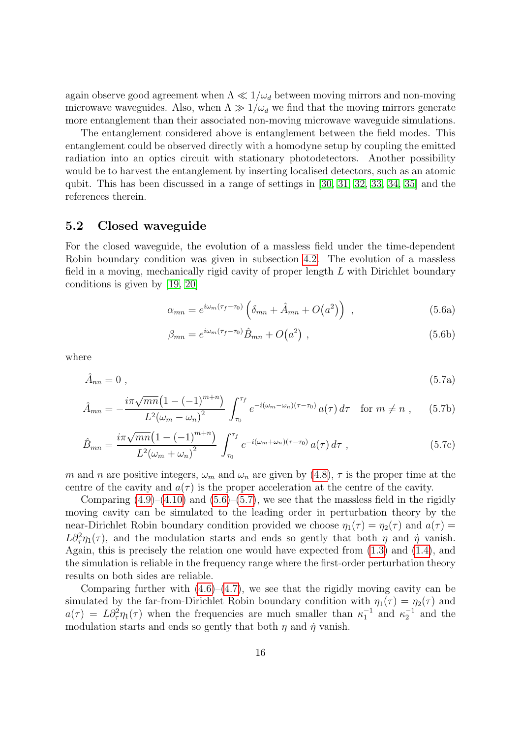again observe good agreement when  $\Lambda \ll 1/\omega_d$  between moving mirrors and non-moving microwave waveguides. Also, when  $\Lambda \gg 1/\omega_d$  we find that the moving mirrors generate more entanglement than their associated non-moving microwave waveguide simulations.

The entanglement considered above is entanglement between the field modes. This entanglement could be observed directly with a homodyne setup by coupling the emitted radiation into an optics circuit with stationary photodetectors. Another possibility would be to harvest the entanglement by inserting localised detectors, such as an atomic qubit. This has been discussed in a range of settings in [\[30,](#page-27-4) [31,](#page-27-5) [32,](#page-27-6) [33,](#page-27-7) [34,](#page-27-8) [35\]](#page-27-9) and the references therein.

# 5.2 Closed waveguide

For the closed waveguide, the evolution of a massless field under the time-dependent Robin boundary condition was given in subsection [4.2.](#page-10-4) The evolution of a massless field in a moving, mechanically rigid cavity of proper length  $L$  with Dirichlet boundary conditions is given by [\[19,](#page-26-6) [20\]](#page-26-7)

<span id="page-15-0"></span>
$$
\alpha_{mn} = e^{i\omega_m(\tau_f - \tau_0)} \left( \delta_{mn} + \hat{A}_{mn} + O(a^2) \right) , \qquad (5.6a)
$$

$$
\beta_{mn} = e^{i\omega_m(\tau_f - \tau_0)} \hat{B}_{mn} + O(a^2) \tag{5.6b}
$$

where

<span id="page-15-1"></span>
$$
\hat{A}_{nn} = 0 \tag{5.7a}
$$

$$
\hat{A}_{mn} = -\frac{i\pi\sqrt{mn}\left(1 - (-1)^{m+n}\right)}{L^2(\omega_m - \omega_n)^2} \int_{\tau_0}^{\tau_f} e^{-i(\omega_m - \omega_n)(\tau - \tau_0)} a(\tau) d\tau \text{ for } m \neq n , \quad (5.7b)
$$

$$
\hat{B}_{mn} = \frac{i\pi\sqrt{mn}\left(1 - (-1)^{m+n}\right)}{L^2(\omega_m + \omega_n)^2} \int_{\tau_0}^{\tau_f} e^{-i(\omega_m + \omega_n)(\tau - \tau_0)} a(\tau) d\tau ,
$$
\n(5.7c)

m and n are positive integers,  $\omega_m$  and  $\omega_n$  are given by [\(4.8\)](#page-11-0),  $\tau$  is the proper time at the centre of the cavity and  $a(\tau)$  is the proper acceleration at the centre of the cavity.

Comparing  $(4.9)$ – $(4.10)$  and  $(5.6)$ – $(5.7)$ , we see that the massless field in the rigidly moving cavity can be simulated to the leading order in perturbation theory by the near-Dirichlet Robin boundary condition provided we choose  $\eta_1(\tau) = \eta_2(\tau)$  and  $a(\tau) =$  $L\partial^2_{\tau}\eta_1(\tau)$ , and the modulation starts and ends so gently that both  $\eta$  and  $\dot{\eta}$  vanish. Again, this is precisely the relation one would have expected from [\(1.3\)](#page-1-1) and [\(1.4\)](#page-2-0), and the simulation is reliable in the frequency range where the first-order perturbation theory results on both sides are reliable.

Comparing further with  $(4.6)$ – $(4.7)$ , we see that the rigidly moving cavity can be simulated by the far-from-Dirichlet Robin boundary condition with  $\eta_1(\tau) = \eta_2(\tau)$  and  $a(\tau) = L \partial_{\tau}^2 \eta_1(\tau)$  when the frequencies are much smaller than  $\kappa_1^{-1}$  and  $\kappa_2^{-1}$  and the modulation starts and ends so gently that both  $\eta$  and  $\dot{\eta}$  vanish.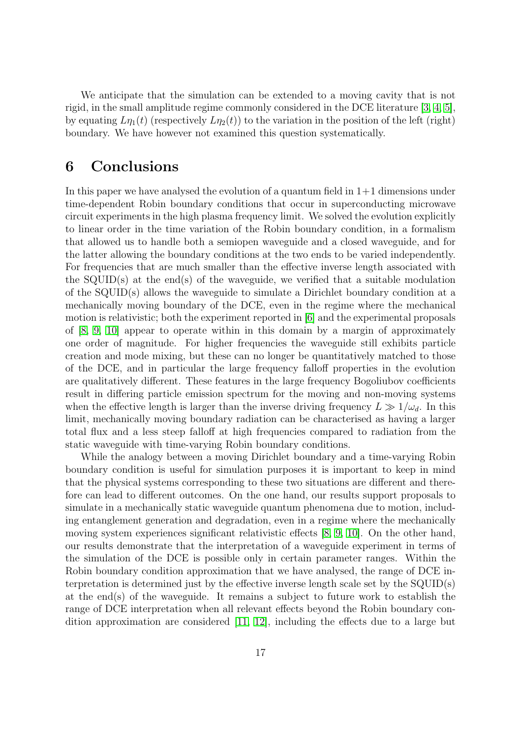We anticipate that the simulation can be extended to a moving cavity that is not rigid, in the small amplitude regime commonly considered in the DCE literature [\[3,](#page-25-2) [4,](#page-25-3) [5\]](#page-25-4), by equating  $L\eta_1(t)$  (respectively  $L\eta_2(t)$ ) to the variation in the position of the left (right) boundary. We have however not examined this question systematically.

# <span id="page-16-0"></span>6 Conclusions

In this paper we have analysed the evolution of a quantum field in  $1+1$  dimensions under time-dependent Robin boundary conditions that occur in superconducting microwave circuit experiments in the high plasma frequency limit. We solved the evolution explicitly to linear order in the time variation of the Robin boundary condition, in a formalism that allowed us to handle both a semiopen waveguide and a closed waveguide, and for the latter allowing the boundary conditions at the two ends to be varied independently. For frequencies that are much smaller than the effective inverse length associated with the SQUID(s) at the end(s) of the waveguide, we verified that a suitable modulation of the SQUID(s) allows the waveguide to simulate a Dirichlet boundary condition at a mechanically moving boundary of the DCE, even in the regime where the mechanical motion is relativistic; both the experiment reported in [\[6\]](#page-25-5) and the experimental proposals of [\[8,](#page-25-7) [9,](#page-25-8) [10\]](#page-25-9) appear to operate within in this domain by a margin of approximately one order of magnitude. For higher frequencies the waveguide still exhibits particle creation and mode mixing, but these can no longer be quantitatively matched to those of the DCE, and in particular the large frequency falloff properties in the evolution are qualitatively different. These features in the large frequency Bogoliubov coefficients result in differing particle emission spectrum for the moving and non-moving systems when the effective length is larger than the inverse driving frequency  $L \gg 1/\omega_d$ . In this limit, mechanically moving boundary radiation can be characterised as having a larger total flux and a less steep falloff at high frequencies compared to radiation from the static waveguide with time-varying Robin boundary conditions.

While the analogy between a moving Dirichlet boundary and a time-varying Robin boundary condition is useful for simulation purposes it is important to keep in mind that the physical systems corresponding to these two situations are different and therefore can lead to different outcomes. On the one hand, our results support proposals to simulate in a mechanically static waveguide quantum phenomena due to motion, including entanglement generation and degradation, even in a regime where the mechanically moving system experiences significant relativistic effects [\[8,](#page-25-7) [9,](#page-25-8) [10\]](#page-25-9). On the other hand, our results demonstrate that the interpretation of a waveguide experiment in terms of the simulation of the DCE is possible only in certain parameter ranges. Within the Robin boundary condition approximation that we have analysed, the range of DCE interpretation is determined just by the effective inverse length scale set by the SQUID(s) at the end(s) of the waveguide. It remains a subject to future work to establish the range of DCE interpretation when all relevant effects beyond the Robin boundary condition approximation are considered [\[11,](#page-25-10) [12\]](#page-25-11), including the effects due to a large but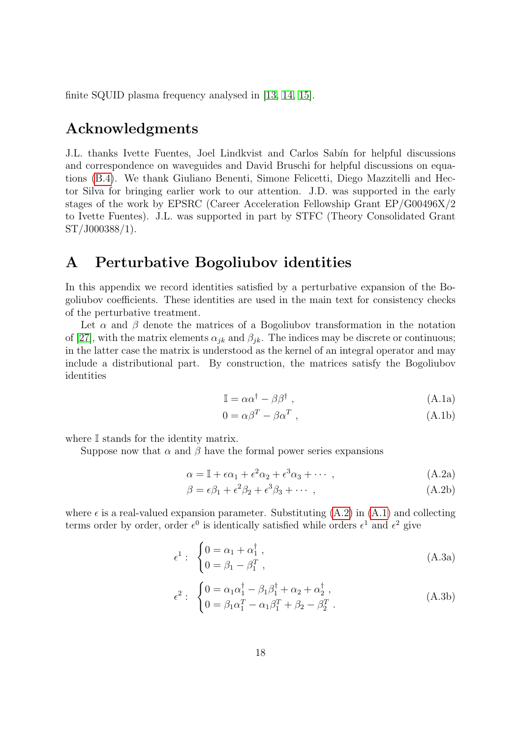finite SQUID plasma frequency analysed in [\[13,](#page-26-0) [14,](#page-26-1) [15\]](#page-26-2).

# Acknowledgments

J.L. thanks Ivette Fuentes, Joel Lindkvist and Carlos Sabín for helpful discussions and correspondence on waveguides and David Bruschi for helpful discussions on equations [\(B.4\)](#page-19-0). We thank Giuliano Benenti, Simone Felicetti, Diego Mazzitelli and Hector Silva for bringing earlier work to our attention. J.D. was supported in the early stages of the work by EPSRC (Career Acceleration Fellowship Grant EP/G00496X/2 to Ivette Fuentes). J.L. was supported in part by STFC (Theory Consolidated Grant ST/J000388/1).

# <span id="page-17-0"></span>A Perturbative Bogoliubov identities

In this appendix we record identities satisfied by a perturbative expansion of the Bogoliubov coefficients. These identities are used in the main text for consistency checks of the perturbative treatment.

<span id="page-17-2"></span>Let  $\alpha$  and  $\beta$  denote the matrices of a Bogoliubov transformation in the notation of [\[27\]](#page-27-1), with the matrix elements  $\alpha_{jk}$  and  $\beta_{jk}$ . The indices may be discrete or continuous; in the latter case the matrix is understood as the kernel of an integral operator and may include a distributional part. By construction, the matrices satisfy the Bogoliubov identities

$$
\mathbb{I} = \alpha \alpha^{\dagger} - \beta \beta^{\dagger} \tag{A.1a}
$$

<span id="page-17-3"></span><span id="page-17-1"></span>
$$
0 = \alpha \beta^T - \beta \alpha^T , \qquad (A.1b)
$$

where  $\mathbb I$  stands for the identity matrix.

Suppose now that  $\alpha$  and  $\beta$  have the formal power series expansions

$$
\alpha = \mathbb{I} + \epsilon \alpha_1 + \epsilon^2 \alpha_2 + \epsilon^3 \alpha_3 + \cdots , \qquad (A.2a)
$$

$$
\beta = \epsilon \beta_1 + \epsilon^2 \beta_2 + \epsilon^3 \beta_3 + \cdots , \qquad (A.2b)
$$

where  $\epsilon$  is a real-valued expansion parameter. Substituting  $(A.2)$  in  $(A.1)$  and collecting terms order by order, order  $\epsilon^0$  is identically satisfied while orders  $\epsilon^1$  and  $\epsilon^2$  give

$$
\epsilon^{1}: \begin{cases} 0 = \alpha_{1} + \alpha_{1}^{\dagger} , \\ 0 = \beta_{1} - \beta_{1}^{T} , \end{cases}
$$
 (A.3a)

$$
\epsilon^2: \begin{cases} 0 = \alpha_1 \alpha_1^\dagger - \beta_1 \beta_1^\dagger + \alpha_2 + \alpha_2^\dagger, \\ 0 = \beta_1 \alpha_1^T - \alpha_1 \beta_1^T + \beta_2 - \beta_2^T. \end{cases} \tag{A.3b}
$$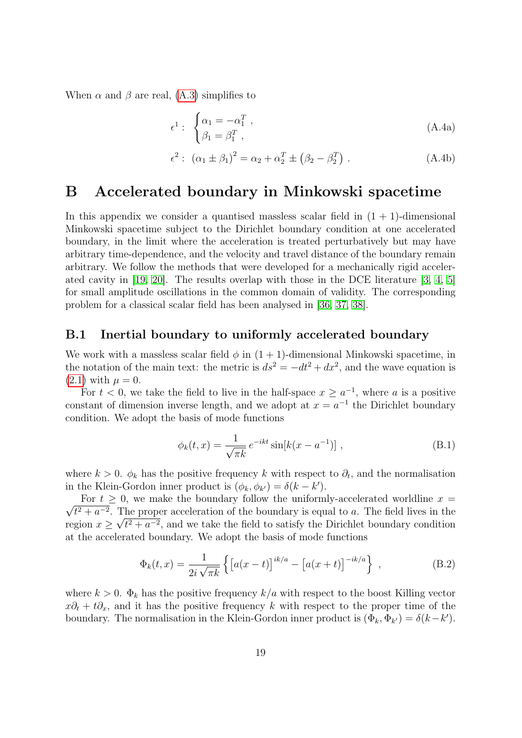When  $\alpha$  and  $\beta$  are real, [\(A.3\)](#page-17-3) simplifies to

<span id="page-18-3"></span><span id="page-18-1"></span>
$$
\epsilon^1: \begin{cases} \alpha_1 = -\alpha_1^T, \\ \beta_1 = \beta_1^T, \end{cases} \tag{A.4a}
$$

<span id="page-18-2"></span>
$$
\epsilon^{2}: (\alpha_{1} \pm \beta_{1})^{2} = \alpha_{2} + \alpha_{2}^{T} \pm (\beta_{2} - \beta_{2}^{T}).
$$
 (A.4b)

# <span id="page-18-0"></span>B Accelerated boundary in Minkowski spacetime

In this appendix we consider a quantised massless scalar field in  $(1 + 1)$ -dimensional Minkowski spacetime subject to the Dirichlet boundary condition at one accelerated boundary, in the limit where the acceleration is treated perturbatively but may have arbitrary time-dependence, and the velocity and travel distance of the boundary remain arbitrary. We follow the methods that were developed for a mechanically rigid accelerated cavity in [\[19,](#page-26-6) [20\]](#page-26-7). The results overlap with those in the DCE literature [\[3,](#page-25-2) [4,](#page-25-3) [5\]](#page-25-4) for small amplitude oscillations in the common domain of validity. The corresponding problem for a classical scalar field has been analysed in [\[36,](#page-27-10) [37,](#page-27-11) [38\]](#page-27-12).

### B.1 Inertial boundary to uniformly accelerated boundary

We work with a massless scalar field  $\phi$  in  $(1 + 1)$ -dimensional Minkowski spacetime, in the notation of the main text: the metric is  $ds^2 = -dt^2 + dx^2$ , and the wave equation is  $(2.1)$  with  $\mu = 0$ .

For  $t < 0$ , we take the field to live in the half-space  $x \geq a^{-1}$ , where a is a positive constant of dimension inverse length, and we adopt at  $x = a^{-1}$  the Dirichlet boundary condition. We adopt the basis of mode functions

<span id="page-18-4"></span>
$$
\phi_k(t,x) = \frac{1}{\sqrt{\pi k}} e^{-ikt} \sin[k(x - a^{-1})], \qquad (B.1)
$$

where  $k > 0$ .  $\phi_k$  has the positive frequency k with respect to  $\partial_t$ , and the normalisation in the Klein-Gordon inner product is  $(\phi_k, \phi_{k'}) = \delta(k - k').$ 

√ For  $t > 0$ , we make the boundary follow the uniformly-accelerated worldline  $x =$  $t^2 + a^{-2}$ . The proper acceleration of the boundary is equal to a. The field lives in the region  $x \geq \sqrt{t^2 + a^{-2}}$ , and we take the field to satisfy the Dirichlet boundary condition at the accelerated boundary. We adopt the basis of mode functions

$$
\Phi_k(t, x) = \frac{1}{2i\sqrt{\pi k}} \left\{ \left[ a(x - t) \right]^{ik/a} - \left[ a(x + t) \right]^{-ik/a} \right\},\tag{B.2}
$$

where  $k > 0$ .  $\Phi_k$  has the positive frequency  $k/a$  with respect to the boost Killing vector  $x\partial_t + t\partial_x$ , and it has the positive frequency k with respect to the proper time of the boundary. The normalisation in the Klein-Gordon inner product is  $(\Phi_k, \Phi_{k'}) = \delta(k - k')$ .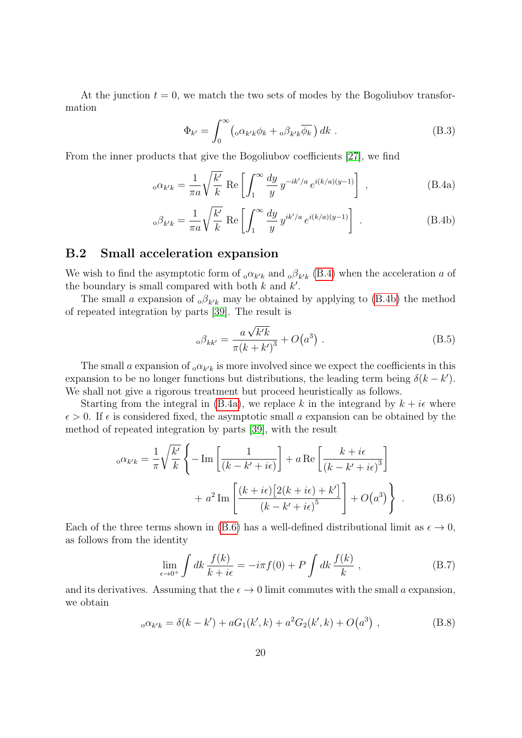At the junction  $t = 0$ , we match the two sets of modes by the Bogoliubov transformation

<span id="page-19-2"></span><span id="page-19-0"></span>
$$
\Phi_{k'} = \int_0^\infty \left( \sigma \alpha_{k'k} \phi_k + \sigma \beta_{k'k} \overline{\phi_k} \right) dk . \tag{B.3}
$$

From the inner products that give the Bogoliubov coefficients [\[27\]](#page-27-1), we find

$$
_{0}\alpha_{k'k} = \frac{1}{\pi a} \sqrt{\frac{k'}{k}} \text{ Re } \left[ \int_{1}^{\infty} \frac{dy}{y} y^{-ik'/a} e^{i(k/a)(y-1)} \right],
$$
 (B.4a)

$$
{}_{\text{o}}\beta_{k'k} = \frac{1}{\pi a} \sqrt{\frac{k'}{k}} \text{ Re}\left[\int_1^\infty \frac{dy}{y} y^{ik'/a} e^{i(k/a)(y-1)}\right]. \tag{B.4b}
$$

### B.2 Small acceleration expansion

We wish to find the asymptotic form of  $_0 \alpha_{k'k}$  and  $_0 \beta_{k'k}$  [\(B.4\)](#page-19-0) when the acceleration a of the boundary is small compared with both  $k$  and  $k'$ .

The small a expansion of  $_0\beta_{k'k}$  may be obtained by applying to [\(B.4b\)](#page-19-1) the method of repeated integration by parts [\[39\]](#page-27-13). The result is

<span id="page-19-4"></span><span id="page-19-1"></span>
$$
_{0}\beta_{kk'} = \frac{a\sqrt{k'k}}{\pi(k+k')^{3}} + O(a^{3})
$$
 (B.5)

The small a expansion of  $_0\alpha_{k'k}$  is more involved since we expect the coefficients in this expansion to be no longer functions but distributions, the leading term being  $\delta(k - k')$ . We shall not give a rigorous treatment but proceed heuristically as follows.

Starting from the integral in [\(B.4a\)](#page-19-2), we replace k in the integrand by  $k + i\epsilon$  where  $\epsilon > 0$ . If  $\epsilon$  is considered fixed, the asymptotic small a expansion can be obtained by the method of repeated integration by parts [\[39\]](#page-27-13), with the result

$$
{}_{o}\alpha_{k'k} = \frac{1}{\pi} \sqrt{\frac{k'}{k}} \left\{ -\operatorname{Im} \left[ \frac{1}{(k - k' + i\epsilon)} \right] + a \operatorname{Re} \left[ \frac{k + i\epsilon}{(k - k' + i\epsilon)^3} \right] + a^2 \operatorname{Im} \left[ \frac{(k + i\epsilon)\left[2(k + i\epsilon) + k'\right]}{(k - k' + i\epsilon)^5} \right] + O(a^3) \right\} .
$$
 (B.6)

Each of the three terms shown in [\(B.6\)](#page-19-3) has a well-defined distributional limit as  $\epsilon \to 0$ , as follows from the identity

<span id="page-19-5"></span><span id="page-19-3"></span>
$$
\lim_{\epsilon \to 0^+} \int dk \, \frac{f(k)}{k + i\epsilon} = -i\pi f(0) + P \int dk \, \frac{f(k)}{k} \;, \tag{B.7}
$$

and its derivatives. Assuming that the  $\epsilon \to 0$  limit commutes with the small a expansion, we obtain

$$
_o \alpha_{k'k} = \delta(k - k') + aG_1(k', k) + a^2G_2(k', k) + O(a^3)
$$
, (B.8)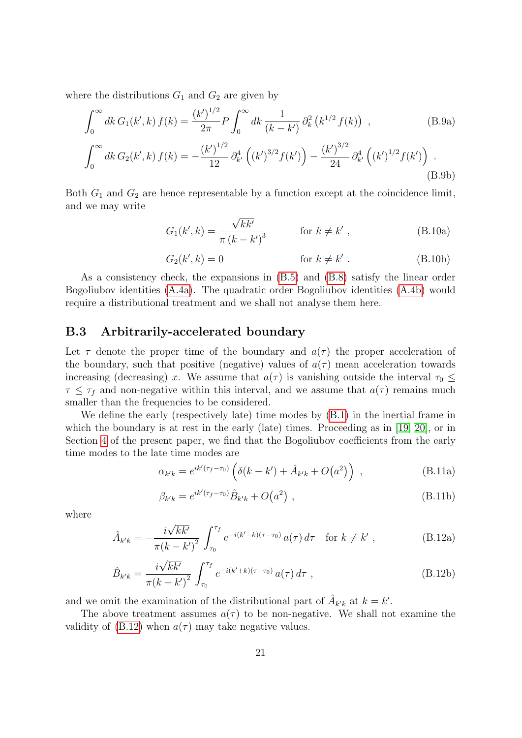where the distributions  $G_1$  and  $G_2$  are given by

$$
\int_0^\infty dk \, G_1(k',k) \, f(k) = \frac{(k')^{1/2}}{2\pi} P \int_0^\infty dk \, \frac{1}{(k-k')} \, \partial_k^2 \left( k^{1/2} \, f(k) \right) \;, \tag{B.9a}
$$

$$
\int_0^\infty dk \, G_2(k',k) \, f(k) = -\frac{(k')^{1/2}}{12} \, \partial_{k'}^4 \left( (k')^{3/2} f(k') \right) - \frac{(k')^{3/2}}{24} \, \partial_{k'}^4 \left( (k')^{1/2} f(k') \right) \, . \tag{B.9b}
$$

Both  $G_1$  and  $G_2$  are hence representable by a function except at the coincidence limit, and we may write

$$
G_1(k',k) = \frac{\sqrt{kk'}}{\pi (k - k')^3}
$$
 for  $k \neq k'$ , (B.10a)

$$
G_2(k',k) = 0 \qquad \text{for } k \neq k' \,. \tag{B.10b}
$$

As a consistency check, the expansions in [\(B.5\)](#page-19-4) and [\(B.8\)](#page-19-5) satisfy the linear order Bogoliubov identities [\(A.4a\)](#page-18-1). The quadratic order Bogoliubov identities [\(A.4b\)](#page-18-2) would require a distributional treatment and we shall not analyse them here.

### B.3 Arbitrarily-accelerated boundary

Let  $\tau$  denote the proper time of the boundary and  $a(\tau)$  the proper acceleration of the boundary, such that positive (negative) values of  $a(\tau)$  mean acceleration towards increasing (decreasing) x. We assume that  $a(\tau)$  is vanishing outside the interval  $\tau_0 \leq$  $\tau \leq \tau_f$  and non-negative within this interval, and we assume that  $a(\tau)$  remains much smaller than the frequencies to be considered.

We define the early (respectively late) time modes by [\(B.1\)](#page-18-4) in the inertial frame in which the boundary is at rest in the early (late) times. Proceeding as in [\[19,](#page-26-6) [20\]](#page-26-7), or in Section [4](#page-9-0) of the present paper, we find that the Bogoliubov coefficients from the early time modes to the late time modes are

<span id="page-20-0"></span>
$$
\alpha_{k'k} = e^{ik'(\tau_f - \tau_0)} \left( \delta(k - k') + \hat{A}_{k'k} + O(a^2) \right) , \qquad (B.11a)
$$

$$
\beta_{k'k} = e^{ik'(\tau_f - \tau_0)} \hat{B}_{k'k} + O(a^2) \tag{B.11b}
$$

where

<span id="page-20-1"></span>
$$
\hat{A}_{k'k} = -\frac{i\sqrt{kk'}}{\pi(k - k')^2} \int_{\tau_0}^{\tau_f} e^{-i(k'-k)(\tau - \tau_0)} a(\tau) d\tau \quad \text{for } k \neq k', \tag{B.12a}
$$

$$
\hat{B}_{k'k} = \frac{i\sqrt{kk'}}{\pi (k+k')^2} \int_{\tau_0}^{\tau_f} e^{-i(k'+k)(\tau-\tau_0)} a(\tau) d\tau ,
$$
\n(B.12b)

and we omit the examination of the distributional part of  $\hat{A}_{k'k}$  at  $k = k'$ .

The above treatment assumes  $a(\tau)$  to be non-negative. We shall not examine the validity of [\(B.12\)](#page-20-1) when  $a(\tau)$  may take negative values.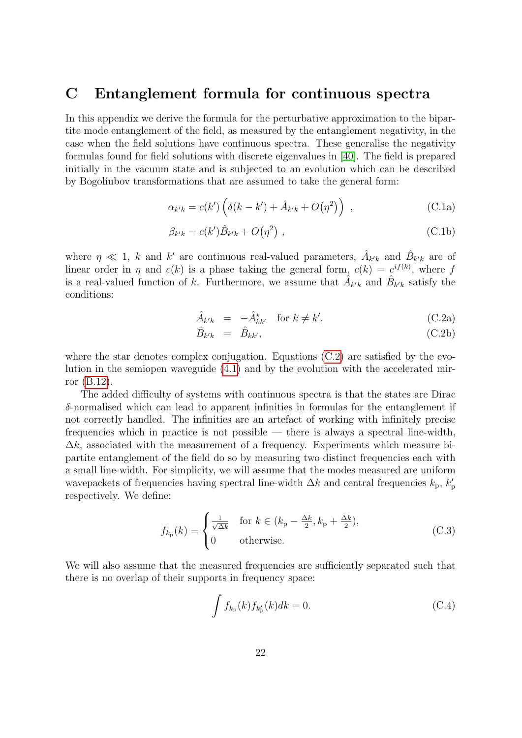# <span id="page-21-0"></span>C Entanglement formula for continuous spectra

In this appendix we derive the formula for the perturbative approximation to the bipartite mode entanglement of the field, as measured by the entanglement negativity, in the case when the field solutions have continuous spectra. These generalise the negativity formulas found for field solutions with discrete eigenvalues in [\[40\]](#page-27-14). The field is prepared initially in the vacuum state and is subjected to an evolution which can be described by Bogoliubov transformations that are assumed to take the general form:

<span id="page-21-2"></span>
$$
\alpha_{k'k} = c(k') \left( \delta(k - k') + \hat{A}_{k'k} + O(\eta^2) \right) , \qquad (C.1a)
$$

$$
\beta_{k'k} = c(k')\hat{B}_{k'k} + O(\eta^2) \tag{C.1b}
$$

<span id="page-21-1"></span>where  $\eta \ll 1$ , k and k' are continuous real-valued parameters,  $\hat{A}_{k'k}$  and  $\hat{B}_{k'k}$  are of linear order in  $\eta$  and  $c(k)$  is a phase taking the general form,  $c(k) = e^{if(k)}$ , where f is a real-valued function of k. Furthermore, we assume that  $\hat{A}_{k'k}$  and  $\hat{B}_{k'k}$  satisfy the conditions:

$$
\hat{A}_{k'k} = -\hat{A}_{kk'}^{\star} \quad \text{for } k \neq k', \tag{C.2a}
$$

$$
\hat{B}_{k'k} = \hat{B}_{kk'}, \tag{C.2b}
$$

where the star denotes complex conjugation. Equations [\(C.2\)](#page-21-1) are satisfied by the evolution in the semiopen waveguide [\(4.1\)](#page-10-0) and by the evolution with the accelerated mirror [\(B.12\)](#page-20-1).

The added difficulty of systems with continuous spectra is that the states are Dirac δ-normalised which can lead to apparent infinities in formulas for the entanglement if not correctly handled. The infinities are an artefact of working with infinitely precise frequencies which in practice is not possible — there is always a spectral line-width,  $\Delta k$ , associated with the measurement of a frequency. Experiments which measure bipartite entanglement of the field do so by measuring two distinct frequencies each with a small line-width. For simplicity, we will assume that the modes measured are uniform wavepackets of frequencies having spectral line-width  $\Delta k$  and central frequencies  $k_{\rm p}$ ,  $k'_{\rm p}$ respectively. We define:

$$
f_{k_{\rm p}}(k) = \begin{cases} \frac{1}{\sqrt{\Delta k}} & \text{for } k \in (k_{\rm p} - \frac{\Delta k}{2}, k_{\rm p} + \frac{\Delta k}{2}),\\ 0 & \text{otherwise.} \end{cases} \tag{C.3}
$$

We will also assume that the measured frequencies are sufficiently separated such that there is no overlap of their supports in frequency space:

$$
\int f_{k_{\rm p}}(k) f_{k'_{\rm p}}(k) dk = 0.
$$
 (C.4)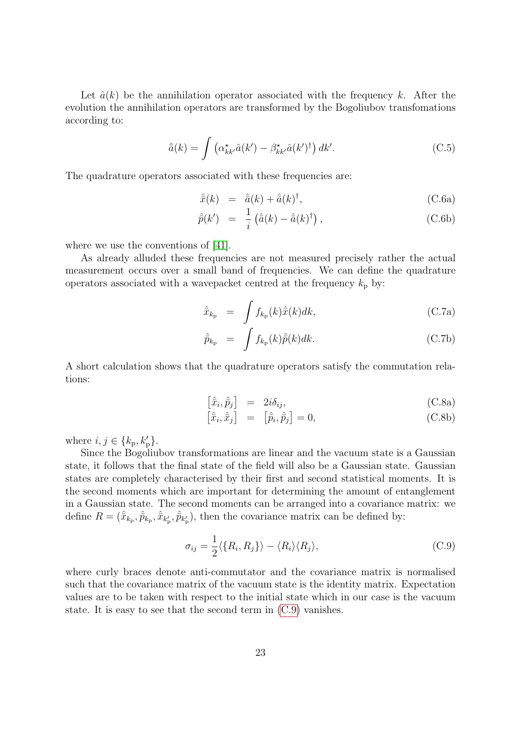Let  $\hat{a}(k)$  be the annihilation operator associated with the frequency k. After the evolution the annihilation operators are transformed by the Bogoliubov transfomations according to:

$$
\hat{\bar{a}}(k) = \int \left( \alpha_{kk'}^{\star} \hat{a}(k') - \beta_{kk'}^{\star} \hat{a}(k')^{\dagger} \right) dk'.
$$
 (C.5)

The quadrature operators associated with these frequencies are:

$$
\hat{\bar{x}}(k) = \hat{\bar{a}}(k) + \hat{\bar{a}}(k)^{\dagger}, \tag{C.6a}
$$

$$
\hat{p}(k') = \frac{1}{i} \left( \hat{a}(k) - \hat{a}(k)^{\dagger} \right), \tag{C.6b}
$$

where we use the conventions of [\[41\]](#page-28-0).

As already alluded these frequencies are not measured precisely rather the actual measurement occurs over a small band of frequencies. We can define the quadrature operators associated with a wavepacket centred at the frequency  $k_p$  by:

$$
\hat{\bar{x}}_{k_{\rm p}} = \int f_{k_{\rm p}}(k)\hat{\bar{x}}(k)dk,
$$
\n(C.7a)

$$
\hat{\bar{p}}_{k_{\rm p}} = \int f_{k_{\rm p}}(k)\hat{\bar{p}}(k)dk.
$$
\n(C.7b)

A short calculation shows that the quadrature operators satisfy the commutation relations:

$$
\left[\hat{\bar{x}}_i, \hat{\bar{p}}_j\right] = 2i\delta_{ij},\tag{C.8a}
$$

$$
\left[\hat{\bar{x}}_i, \hat{\bar{x}}_j\right] = \left[\hat{\bar{p}}_i, \hat{\bar{p}}_j\right] = 0, \tag{C.8b}
$$

where  $i, j \in \{k_{p}, k'_{p}\}.$ 

Since the Bogoliubov transformations are linear and the vacuum state is a Gaussian state, it follows that the final state of the field will also be a Gaussian state. Gaussian states are completely characterised by their first and second statistical moments. It is the second moments which are important for determining the amount of entanglement in a Gaussian state. The second moments can be arranged into a covariance matrix: we define  $R = (\hat{x}_{k_p}, \hat{p}_{k_p}, \hat{x}_{k'_p}, \hat{p}_{k'_p})$ , then the covariance matrix can be defined by:

<span id="page-22-0"></span>
$$
\sigma_{ij} = \frac{1}{2} \langle \{R_i, R_j\} \rangle - \langle R_i \rangle \langle R_j \rangle, \tag{C.9}
$$

where curly braces denote anti-commutator and the covariance matrix is normalised such that the covariance matrix of the vacuum state is the identity matrix. Expectation values are to be taken with respect to the initial state which in our case is the vacuum state. It is easy to see that the second term in [\(C.9\)](#page-22-0) vanishes.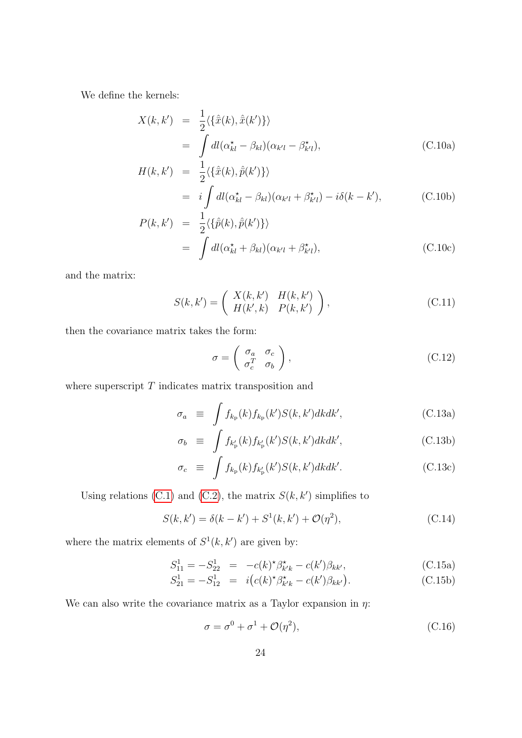We define the kernels:

$$
X(k, k') = \frac{1}{2} \langle {\hat{\bar{x}}(k), \hat{\bar{x}}(k')} \rangle
$$
  
= 
$$
\int dI(\alpha_{kl}^* - \beta_{kl})(\alpha_{k'l} - \beta_{k'l}^*),
$$
 (C.10a)

$$
H(k, k') = \frac{1}{2} \langle {\hat{x}(k), \hat{p}(k')} \rangle
$$
  
=  $i \int dl(\alpha_{kl}^* - \beta_{kl})(\alpha_{k'l} + \beta_{k'l}^*) - i\delta(k - k'),$  (C.10b)

$$
P(k, k') = \frac{1}{2} \langle {\hat{p}(k), \hat{p}(k')} \rangle
$$
  
= 
$$
\int dl(\alpha_{kl}^{\star} + \beta_{kl})(\alpha_{k'l} + \beta_{k'l}^{\star}),
$$
 (C.10c)

and the matrix:

$$
S(k,k') = \begin{pmatrix} X(k,k') & H(k,k') \\ H(k',k) & P(k,k') \end{pmatrix},
$$
\n(C.11)

then the covariance matrix takes the form:

$$
\sigma = \begin{pmatrix} \sigma_a & \sigma_c \\ \sigma_c^T & \sigma_b \end{pmatrix},\tag{C.12}
$$

where superscript  $T$  indicates matrix transposition and

$$
\sigma_a \equiv \int f_{k_{\rm p}}(k) f_{k_{\rm p}}(k') S(k, k') dk dk', \qquad \qquad \text{(C.13a)}
$$

$$
\sigma_b \equiv \int f_{k'_{\rm p}}(k) f_{k'_{\rm p}}(k') S(k, k') dk dk', \qquad (C.13b)
$$

$$
\sigma_c \equiv \int f_{k_{\rm p}}(k) f_{k'_{\rm p}}(k') S(k, k') dk dk'. \qquad (C.13c)
$$

Using relations [\(C.1\)](#page-21-2) and [\(C.2\)](#page-21-1), the matrix  $S(k, k')$  simplifies to

<span id="page-23-0"></span>
$$
S(k, k') = \delta(k - k') + S^{1}(k, k') + \mathcal{O}(\eta^{2}),
$$
 (C.14)

where the matrix elements of  $S^1(k, k')$  are given by:

$$
S_{11}^1 = -S_{22}^1 = -c(k)^{\star} \beta_{k'k}^{\star} - c(k') \beta_{kk'}, \qquad (C.15a)
$$

$$
S_{21}^1 = -S_{12}^1 = i(c(k)^* \beta_{k'k}^* - c(k')\beta_{kk'})
$$
 (C.15b)

We can also write the covariance matrix as a Taylor expansion in  $\eta$ :

$$
\sigma = \sigma^0 + \sigma^1 + \mathcal{O}(\eta^2),\tag{C.16}
$$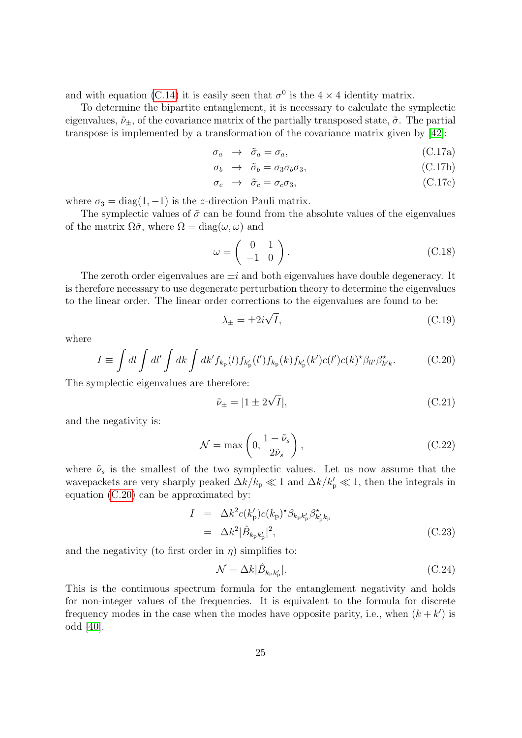and with equation [\(C.14\)](#page-23-0) it is easily seen that  $\sigma^0$  is the 4  $\times$  4 identity matrix.

To determine the bipartite entanglement, it is necessary to calculate the symplectic eigenvalues,  $\tilde{\nu}_{\pm}$ , of the covariance matrix of the partially transposed state,  $\tilde{\sigma}$ . The partial transpose is implemented by a transformation of the covariance matrix given by [\[42\]](#page-28-1):

$$
\sigma_a \rightarrow \tilde{\sigma}_a = \sigma_a, \tag{C.17a}
$$

$$
\sigma_b \rightarrow \tilde{\sigma}_b = \sigma_3 \sigma_b \sigma_3, \tag{C.17b}
$$

$$
\sigma_c \rightarrow \tilde{\sigma}_c = \sigma_c \sigma_3, \tag{C.17c}
$$

where  $\sigma_3 = \text{diag}(1, -1)$  is the z-direction Pauli matrix.

The symplectic values of  $\tilde{\sigma}$  can be found from the absolute values of the eigenvalues of the matrix  $\Omega \tilde{\sigma}$ , where  $\Omega = \text{diag}(\omega, \omega)$  and

$$
\omega = \left(\begin{array}{cc} 0 & 1 \\ -1 & 0 \end{array}\right). \tag{C.18}
$$

The zeroth order eigenvalues are  $\pm i$  and both eigenvalues have double degeneracy. It is therefore necessary to use degenerate perturbation theory to determine the eigenvalues to the linear order. The linear order corrections to the eigenvalues are found to be:

$$
\lambda_{\pm} = \pm 2i\sqrt{I},\tag{C.19}
$$

where

<span id="page-24-0"></span>
$$
I \equiv \int dl \int dl' \int dk' \int dk' f_{k_{\rm p}}(l) f_{k'_{\rm p}}(l') f_{k_{\rm p}}(k) f_{k'_{\rm p}}(k') c(l') c(k)^{\star} \beta_{ll'} \beta_{k'k}^{\star}.
$$
 (C.20)

The symplectic eigenvalues are therefore:

$$
\tilde{\nu}_{\pm} = |1 \pm 2\sqrt{I}|,\tag{C.21}
$$

and the negativity is:

$$
\mathcal{N} = \max\left(0, \frac{1 - \tilde{\nu}_s}{2\tilde{\nu}_s}\right),\tag{C.22}
$$

where  $\tilde{\nu}_s$  is the smallest of the two symplectic values. Let us now assume that the wavepackets are very sharply peaked  $\Delta k/k_{\rm p} \ll 1$  and  $\Delta k/k_{\rm p}' \ll 1$ , then the integrals in equation [\(C.20\)](#page-24-0) can be approximated by:

$$
I = \Delta k^2 c(k'_{\rm p}) c(k_{\rm p})^* \beta_{k_{\rm p} k'_{\rm p}} \beta^*_{k'_{\rm p} k_{\rm p}}
$$
  
=  $\Delta k^2 |\hat{B}_{k_{\rm p} k'_{\rm p}}|^2$ , (C.23)

and the negativity (to first order in  $\eta$ ) simplifies to:

$$
\mathcal{N} = \Delta k |\hat{B}_{k_{\rm p} k'_{\rm p}}|.
$$
\n(C.24)

This is the continuous spectrum formula for the entanglement negativity and holds for non-integer values of the frequencies. It is equivalent to the formula for discrete frequency modes in the case when the modes have opposite parity, i.e., when  $(k + k')$  is odd [\[40\]](#page-27-14).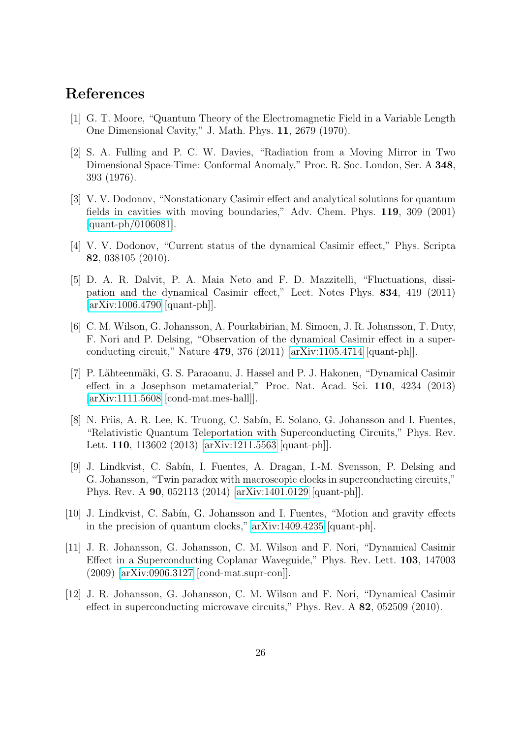# References

- <span id="page-25-0"></span>[1] G. T. Moore, "Quantum Theory of the Electromagnetic Field in a Variable Length One Dimensional Cavity," J. Math. Phys. 11, 2679 (1970).
- <span id="page-25-1"></span>[2] S. A. Fulling and P. C. W. Davies, "Radiation from a Moving Mirror in Two Dimensional Space-Time: Conformal Anomaly," Proc. R. Soc. London, Ser. A 348, 393 (1976).
- <span id="page-25-2"></span>[3] V. V. Dodonov, "Nonstationary Casimir effect and analytical solutions for quantum fields in cavities with moving boundaries," Adv. Chem. Phys. 119, 309 (2001) [\[quant-ph/0106081\]](http://arxiv.org/abs/quant-ph/0106081).
- <span id="page-25-3"></span>[4] V. V. Dodonov, "Current status of the dynamical Casimir effect," Phys. Scripta 82, 038105 (2010).
- <span id="page-25-4"></span>[5] D. A. R. Dalvit, P. A. Maia Neto and F. D. Mazzitelli, "Fluctuations, dissipation and the dynamical Casimir effect," Lect. Notes Phys. 834, 419 (2011) [\[arXiv:1006.4790](http://arxiv.org/abs/1006.4790) [quant-ph]].
- <span id="page-25-5"></span>[6] C. M. Wilson, G. Johansson, A. Pourkabirian, M. Simoen, J. R. Johansson, T. Duty, F. Nori and P. Delsing, "Observation of the dynamical Casimir effect in a superconducting circuit," Nature 479, 376 (2011) [\[arXiv:1105.4714](http://arxiv.org/abs/1105.4714) [quant-ph]].
- <span id="page-25-6"></span>[7] P. Lähteenmäki, G. S. Paraoanu, J. Hassel and P. J. Hakonen, "Dynamical Casimir" effect in a Josephson metamaterial," Proc. Nat. Acad. Sci. 110, 4234 (2013) [\[arXiv:1111.5608](http://arxiv.org/abs/1111.5608) [cond-mat.mes-hall]].
- <span id="page-25-7"></span>[8] N. Friis, A. R. Lee, K. Truong, C. Sabín, E. Solano, G. Johansson and I. Fuentes, "Relativistic Quantum Teleportation with Superconducting Circuits," Phys. Rev. Lett. 110, 113602 (2013) [\[arXiv:1211.5563](http://arxiv.org/abs/1211.5563) [quant-ph]].
- <span id="page-25-8"></span>[9] J. Lindkvist, C. Sabín, I. Fuentes, A. Dragan, I.-M. Svensson, P. Delsing and G. Johansson, "Twin paradox with macroscopic clocks in superconducting circuits," Phys. Rev. A 90, 052113 (2014) [\[arXiv:1401.0129](http://arxiv.org/abs/1401.0129) [quant-ph]].
- <span id="page-25-9"></span>[10] J. Lindkvist, C. Sabín, G. Johansson and I. Fuentes, "Motion and gravity effects in the precision of quantum clocks," [arXiv:1409.4235](http://arxiv.org/abs/1409.4235) [quant-ph].
- <span id="page-25-10"></span>[11] J. R. Johansson, G. Johansson, C. M. Wilson and F. Nori, "Dynamical Casimir Effect in a Superconducting Coplanar Waveguide," Phys. Rev. Lett. 103, 147003 (2009) [\[arXiv:0906.3127](http://arxiv.org/abs/0906.3127) [cond-mat.supr-con]].
- <span id="page-25-11"></span>[12] J. R. Johansson, G. Johansson, C. M. Wilson and F. Nori, "Dynamical Casimir effect in superconducting microwave circuits," Phys. Rev. A 82, 052509 (2010).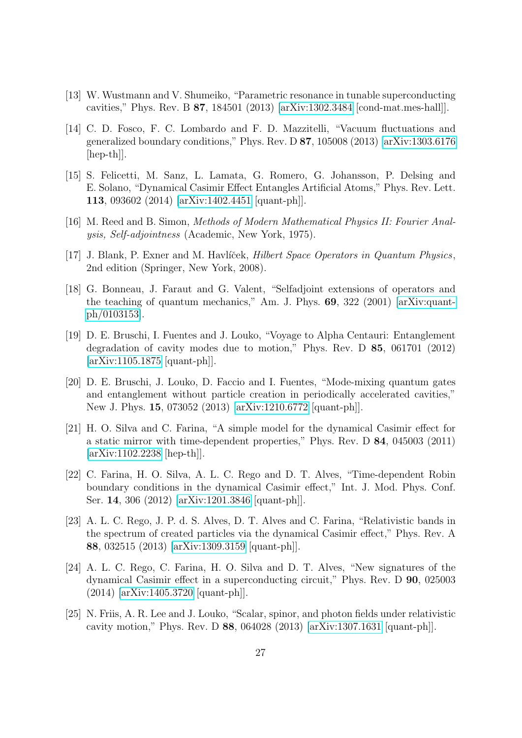- <span id="page-26-0"></span>[13] W. Wustmann and V. Shumeiko, "Parametric resonance in tunable superconducting cavities," Phys. Rev. B 87, 184501 (2013) [\[arXiv:1302.3484](http://arxiv.org/abs/1302.3484) [cond-mat.mes-hall]].
- <span id="page-26-1"></span>[14] C. D. Fosco, F. C. Lombardo and F. D. Mazzitelli, "Vacuum fluctuations and generalized boundary conditions," Phys. Rev. D  $87$ , 105008 (2013) [\[arXiv:1303.6176](http://arxiv.org/abs/1303.6176) [hep-th]].
- <span id="page-26-2"></span>[15] S. Felicetti, M. Sanz, L. Lamata, G. Romero, G. Johansson, P. Delsing and E. Solano, "Dynamical Casimir Effect Entangles Artificial Atoms," Phys. Rev. Lett. 113, 093602 (2014) [\[arXiv:1402.4451](http://arxiv.org/abs/1402.4451) [quant-ph]].
- <span id="page-26-3"></span>[16] M. Reed and B. Simon, Methods of Modern Mathematical Physics II: Fourier Analysis, Self-adjointness (Academic, New York, 1975).
- <span id="page-26-4"></span>[17] J. Blank, P. Exner and M. Havlíček, *Hilbert Space Operators in Quantum Physics*, 2nd edition (Springer, New York, 2008).
- <span id="page-26-5"></span>[18] G. Bonneau, J. Faraut and G. Valent, "Selfadjoint extensions of operators and the teaching of quantum mechanics," Am. J. Phys. 69, 322 (2001) [\[arXiv:quant](http://arxiv.org/abs/quant-ph/0103153)[ph/0103153\]](http://arxiv.org/abs/quant-ph/0103153).
- <span id="page-26-6"></span>[19] D. E. Bruschi, I. Fuentes and J. Louko, "Voyage to Alpha Centauri: Entanglement degradation of cavity modes due to motion," Phys. Rev. D 85, 061701 (2012) [\[arXiv:1105.1875](http://arxiv.org/abs/1105.1875) [quant-ph]].
- <span id="page-26-7"></span>[20] D. E. Bruschi, J. Louko, D. Faccio and I. Fuentes, "Mode-mixing quantum gates and entanglement without particle creation in periodically accelerated cavities," New J. Phys. 15, 073052 (2013) [\[arXiv:1210.6772](http://arxiv.org/abs/1210.6772) [quant-ph]].
- <span id="page-26-8"></span>[21] H. O. Silva and C. Farina, "A simple model for the dynamical Casimir effect for a static mirror with time-dependent properties," Phys. Rev. D 84, 045003 (2011) [\[arXiv:1102.2238](http://arxiv.org/abs/1102.2238) [hep-th]].
- <span id="page-26-9"></span>[22] C. Farina, H. O. Silva, A. L. C. Rego and D. T. Alves, "Time-dependent Robin boundary conditions in the dynamical Casimir effect," Int. J. Mod. Phys. Conf. Ser. 14, 306 (2012) [\[arXiv:1201.3846](http://arxiv.org/abs/1201.3846) [quant-ph]].
- <span id="page-26-10"></span>[23] A. L. C. Rego, J. P. d. S. Alves, D. T. Alves and C. Farina, "Relativistic bands in the spectrum of created particles via the dynamical Casimir effect," Phys. Rev. A 88, 032515 (2013) [\[arXiv:1309.3159](http://arxiv.org/abs/1309.3159) [quant-ph]].
- <span id="page-26-11"></span>[24] A. L. C. Rego, C. Farina, H. O. Silva and D. T. Alves, "New signatures of the dynamical Casimir effect in a superconducting circuit," Phys. Rev. D 90, 025003 (2014) [\[arXiv:1405.3720](http://arxiv.org/abs/1405.3720) [quant-ph]].
- <span id="page-26-12"></span>[25] N. Friis, A. R. Lee and J. Louko, "Scalar, spinor, and photon fields under relativistic cavity motion," Phys. Rev. D 88, 064028 (2013) [\[arXiv:1307.1631](http://arxiv.org/abs/1307.1631) [quant-ph]].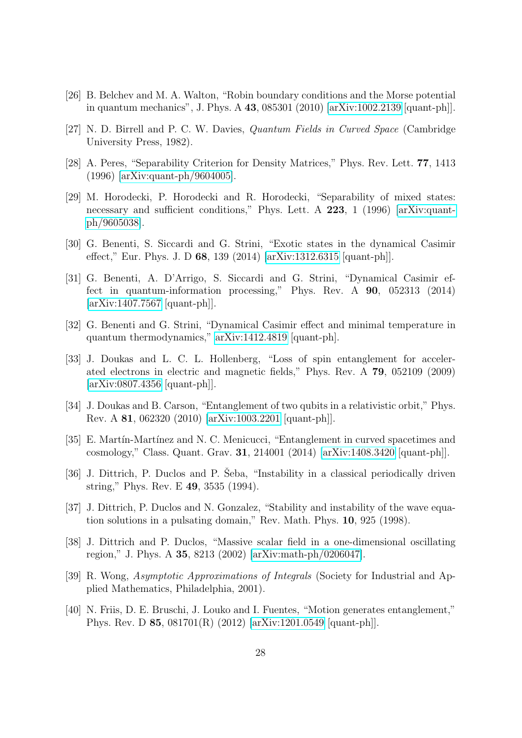- <span id="page-27-0"></span>[26] B. Belchev and M. A. Walton, "Robin boundary conditions and the Morse potential in quantum mechanics", J. Phys. A 43, 085301 (2010) [\[arXiv:1002.2139](http://arxiv.org/abs/1002.2139) [quant-ph]].
- <span id="page-27-1"></span>[27] N. D. Birrell and P. C. W. Davies, Quantum Fields in Curved Space (Cambridge University Press, 1982).
- <span id="page-27-2"></span>[28] A. Peres, "Separability Criterion for Density Matrices," Phys. Rev. Lett. 77, 1413 (1996) [\[arXiv:quant-ph/9604005\]](http://arxiv.org/abs/quant-ph/9604005).
- <span id="page-27-3"></span>[29] M. Horodecki, P. Horodecki and R. Horodecki, "Separability of mixed states: necessary and sufficient conditions," Phys. Lett. A 223, 1 (1996) [\[arXiv:quant](http://arxiv.org/abs/quant-ph/9605038)[ph/9605038\]](http://arxiv.org/abs/quant-ph/9605038).
- <span id="page-27-4"></span>[30] G. Benenti, S. Siccardi and G. Strini, "Exotic states in the dynamical Casimir effect," Eur. Phys. J. D 68, 139 (2014) [\[arXiv:1312.6315](http://arxiv.org/abs/1312.6315) [quant-ph]].
- <span id="page-27-5"></span>[31] G. Benenti, A. D'Arrigo, S. Siccardi and G. Strini, "Dynamical Casimir effect in quantum-information processing," Phys. Rev. A 90, 052313 (2014) [\[arXiv:1407.7567](http://arxiv.org/abs/1407.7567) [quant-ph]].
- <span id="page-27-6"></span>[32] G. Benenti and G. Strini, "Dynamical Casimir effect and minimal temperature in quantum thermodynamics," [arXiv:1412.4819](http://arxiv.org/abs/1412.4819) [quant-ph].
- <span id="page-27-7"></span>[33] J. Doukas and L. C. L. Hollenberg, "Loss of spin entanglement for accelerated electrons in electric and magnetic fields," Phys. Rev. A 79, 052109 (2009) [\[arXiv:0807.4356](http://arxiv.org/abs/0807.4356) [quant-ph]].
- <span id="page-27-8"></span>[34] J. Doukas and B. Carson, "Entanglement of two qubits in a relativistic orbit," Phys. Rev. A 81, 062320 (2010) [\[arXiv:1003.2201](http://arxiv.org/abs/1003.2201) [quant-ph]].
- <span id="page-27-9"></span>[35] E. Martín-Martínez and N. C. Menicucci, "Entanglement in curved spacetimes and cosmology," Class. Quant. Grav. 31, 214001 (2014) [\[arXiv:1408.3420](http://arxiv.org/abs/1408.3420) [quant-ph]].
- <span id="page-27-10"></span>[36] J. Dittrich, P. Duclos and P. Seba, "Instability in a classical periodically driven string," Phys. Rev. E 49, 3535 (1994).
- <span id="page-27-11"></span>[37] J. Dittrich, P. Duclos and N. Gonzalez, "Stability and instability of the wave equation solutions in a pulsating domain," Rev. Math. Phys. 10, 925 (1998).
- <span id="page-27-12"></span>[38] J. Dittrich and P. Duclos, "Massive scalar field in a one-dimensional oscillating region," J. Phys. A 35, 8213 (2002) [\[arXiv:math-ph/0206047\]](http://arxiv.org/abs/math-ph/0206047).
- <span id="page-27-13"></span>[39] R. Wong, Asymptotic Approximations of Integrals (Society for Industrial and Applied Mathematics, Philadelphia, 2001).
- <span id="page-27-14"></span>[40] N. Friis, D. E. Bruschi, J. Louko and I. Fuentes, "Motion generates entanglement," Phys. Rev. D 85, 081701(R) (2012) [\[arXiv:1201.0549](http://arxiv.org/abs/1201.0549) [quant-ph]].